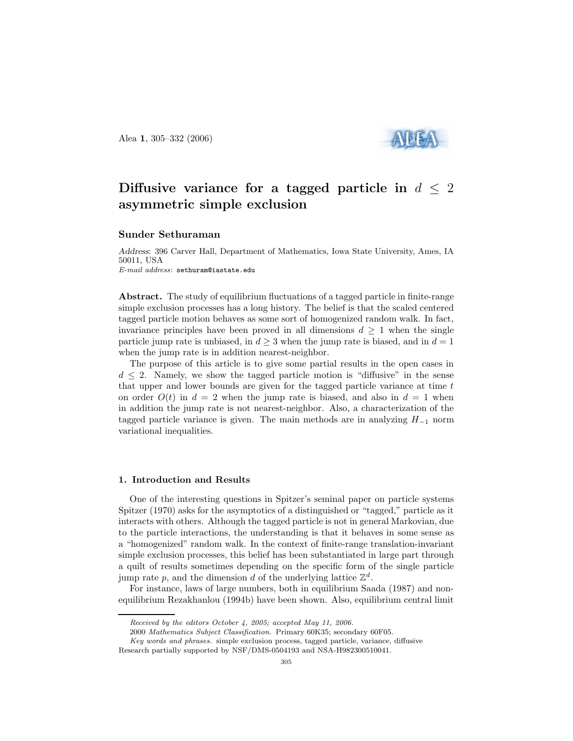Alea 1, 305–332 (2006)



# Diffusive variance for a tagged particle in  $d \leq 2$ asymmetric simple exclusion

### Sunder Sethuraman

Address: 396 Carver Hall, Department of Mathematics, Iowa State University, Ames, IA 50011, USA E-mail address: sethuram@iastate.edu

Abstract. The study of equilibrium fluctuations of a tagged particle in finite-range simple exclusion processes has a long history. The belief is that the scaled centered tagged particle motion behaves as some sort of homogenized random walk. In fact, invariance principles have been proved in all dimensions  $d > 1$  when the single particle jump rate is unbiased, in  $d \geq 3$  when the jump rate is biased, and in  $d = 1$ when the jump rate is in addition nearest-neighbor.

The purpose of this article is to give some partial results in the open cases in  $d \leq 2$ . Namely, we show the tagged particle motion is "diffusive" in the sense that upper and lower bounds are given for the tagged particle variance at time  $t$ on order  $O(t)$  in  $d = 2$  when the jump rate is biased, and also in  $d = 1$  when in addition the jump rate is not nearest-neighbor. Also, a characterization of the tagged particle variance is given. The main methods are in analyzing  $H_{-1}$  norm variational inequalities.

### 1. Introduction and Results

One of the interesting questions in Spitzer's seminal paper on particle systems Spitzer (1970) asks for the asymptotics of a distinguished or "tagged," particle as it interacts with others. Although the tagged particle is not in general Markovian, due to the particle interactions, the understanding is that it behaves in some sense as a "homogenized" random walk. In the context of finite-range translation-invariant simple exclusion processes, this belief has been substantiated in large part through a quilt of results sometimes depending on the specific form of the single particle jump rate p, and the dimension d of the underlying lattice  $\mathbb{Z}^d$ .

For instance, laws of large numbers, both in equilibrium Saada (1987) and nonequilibrium Rezakhanlou (1994b) have been shown. Also, equilibrium central limit

Received by the editors October 4, 2005; accepted May 11, 2006.

<sup>2000</sup> Mathematics Subject Classification. Primary 60K35; secondary 60F05.

Key words and phrases. simple exclusion process, tagged particle, variance, diffusive Research partially supported by NSF/DMS-0504193 and NSA-H982300510041.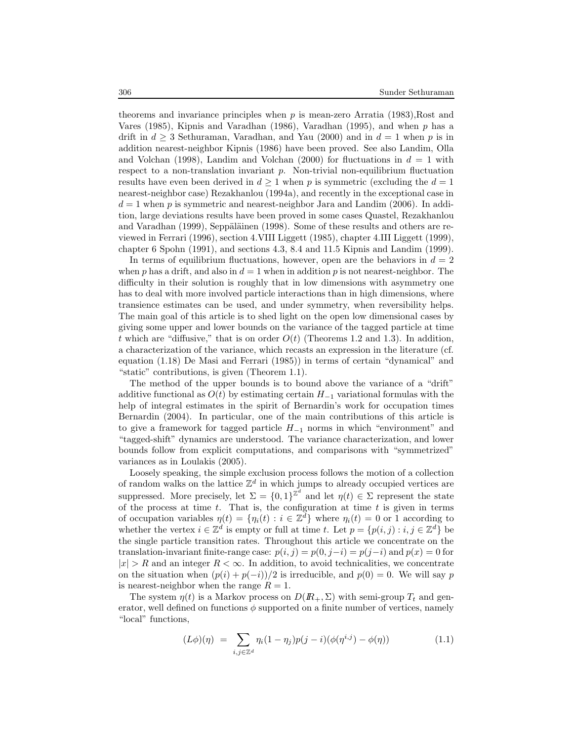theorems and invariance principles when  $p$  is mean-zero Arratia (1983),Rost and Vares (1985), Kipnis and Varadhan (1986), Varadhan (1995), and when p has a drift in  $d \geq 3$  Sethuraman, Varadhan, and Yau (2000) and in  $d = 1$  when p is in addition nearest-neighbor Kipnis (1986) have been proved. See also Landim, Olla and Volchan (1998), Landim and Volchan (2000) for fluctuations in  $d = 1$  with respect to a non-translation invariant  $p$ . Non-trivial non-equilibrium fluctuation results have even been derived in  $d \geq 1$  when p is symmetric (excluding the  $d = 1$ nearest-neighbor case) Rezakhanlou (1994a), and recently in the exceptional case in  $d = 1$  when p is symmetric and nearest-neighbor Jara and Landim (2006). In addition, large deviations results have been proved in some cases Quastel, Rezakhanlou and Varadhan (1999), Seppäläinen (1998). Some of these results and others are reviewed in Ferrari (1996), section 4.VIII Liggett (1985), chapter 4.III Liggett (1999), chapter 6 Spohn (1991), and sections 4.3, 8.4 and 11.5 Kipnis and Landim (1999).

In terms of equilibrium fluctuations, however, open are the behaviors in  $d = 2$ when p has a drift, and also in  $d = 1$  when in addition p is not nearest-neighbor. The difficulty in their solution is roughly that in low dimensions with asymmetry one has to deal with more involved particle interactions than in high dimensions, where transience estimates can be used, and under symmetry, when reversibility helps. The main goal of this article is to shed light on the open low dimensional cases by giving some upper and lower bounds on the variance of the tagged particle at time t which are "diffusive," that is on order  $O(t)$  (Theorems 1.2 and 1.3). In addition, a characterization of the variance, which recasts an expression in the literature (cf. equation (1.18) De Masi and Ferrari (1985)) in terms of certain "dynamical" and "static" contributions, is given (Theorem 1.1).

The method of the upper bounds is to bound above the variance of a "drift" additive functional as  $O(t)$  by estimating certain  $H_{-1}$  variational formulas with the help of integral estimates in the spirit of Bernardin's work for occupation times Bernardin (2004). In particular, one of the main contributions of this article is to give a framework for tagged particle  $H_{-1}$  norms in which "environment" and "tagged-shift" dynamics are understood. The variance characterization, and lower bounds follow from explicit computations, and comparisons with "symmetrized" variances as in Loulakis (2005).

Loosely speaking, the simple exclusion process follows the motion of a collection of random walks on the lattice  $\mathbb{Z}^d$  in which jumps to already occupied vertices are suppressed. More precisely, let  $\Sigma = \{0,1\}^{\mathbb{Z}^d}$  and let  $\eta(t) \in \Sigma$  represent the state of the process at time  $t$ . That is, the configuration at time  $t$  is given in terms of occupation variables  $\eta(t) = {\eta_i(t) : i \in \mathbb{Z}^d}$  where  $\eta_i(t) = 0$  or 1 according to whether the vertex  $i \in \mathbb{Z}^d$  is empty or full at time t. Let  $p = \{p(i, j) : i, j \in \mathbb{Z}^d\}$  be the single particle transition rates. Throughout this article we concentrate on the translation-invariant finite-range case:  $p(i, j) = p(0, j-i) = p(j-i)$  and  $p(x) = 0$  for  $|x| > R$  and an integer  $R < \infty$ . In addition, to avoid technicalities, we concentrate on the situation when  $(p(i) + p(-i))/2$  is irreducible, and  $p(0) = 0$ . We will say p is nearest-neighbor when the range  $R = 1$ .

The system  $\eta(t)$  is a Markov process on  $D(R_+, \Sigma)$  with semi-group  $T_t$  and generator, well defined on functions  $\phi$  supported on a finite number of vertices, namely "local" functions,

$$
(L\phi)(\eta) = \sum_{i,j \in \mathbb{Z}^d} \eta_i (1 - \eta_j) p(j - i) (\phi(\eta^{i,j}) - \phi(\eta)) \tag{1.1}
$$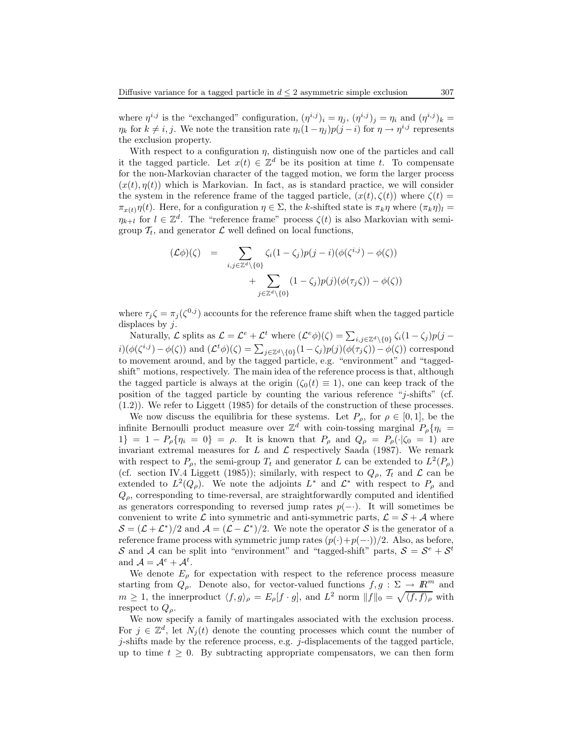where  $\eta^{i,j}$  is the "exchanged" configuration,  $(\eta^{i,j})_i = \eta_j$ ,  $(\eta^{i,j})_j = \eta_i$  and  $(\eta^{i,j})_k =$  $\eta_k$  for  $k \neq i, j$ . We note the transition rate  $\eta_i(1 - \eta_j)p(j - i)$  for  $\eta \to \eta^{i,j}$  represents the exclusion property.

With respect to a configuration  $\eta$ , distinguish now one of the particles and call it the tagged particle. Let  $x(t) \in \mathbb{Z}^d$  be its position at time t. To compensate for the non-Markovian character of the tagged motion, we form the larger process  $(x(t), \eta(t))$  which is Markovian. In fact, as is standard practice, we will consider the system in the reference frame of the tagged particle,  $(x(t), \zeta(t))$  where  $\zeta(t)$  =  $\pi_{x(t)}\eta(t)$ . Here, for a configuration  $\eta \in \Sigma$ , the k-shifted state is  $\pi_k\eta$  where  $(\pi_k\eta)_l =$  $\eta_{k+l}$  for  $l \in \mathbb{Z}^d$ . The "reference frame" process  $\zeta(t)$  is also Markovian with semigroup  $\mathcal{T}_t$ , and generator  $\mathcal L$  well defined on local functions,

$$
(\mathcal{L}\phi)(\zeta) = \sum_{i,j \in \mathbb{Z}^d \setminus \{0\}} \zeta_i (1 - \zeta_j) p(j - i) (\phi(\zeta^{i,j}) - \phi(\zeta)) + \sum_{j \in \mathbb{Z}^d \setminus \{0\}} (1 - \zeta_j) p(j) (\phi(\tau_j \zeta)) - \phi(\zeta))
$$

where  $\tau_j \zeta = \pi_j(\zeta^{0,j})$  accounts for the reference frame shift when the tagged particle displaces by  $j$ .

Naturally,  $\mathcal L$  splits as  $\mathcal L = \mathcal L^e + \mathcal L^t$  where  $(\mathcal L^e \phi)(\zeta) = \sum_{i,j \in \mathbb Z^d \setminus \{0\}} \zeta_i(1-\zeta_j)p(j-\zeta_j)$  $i)(\phi(\zeta^{i,j}) - \phi(\zeta))$  and  $(\mathcal{L}^t \phi)(\zeta) = \sum_{j \in \mathbb{Z}^d \setminus \{0\}} (1 - \zeta_j) p(j) (\phi(\tau_j \zeta)) - \phi(\zeta))$  correspond to movement around, and by the tagged particle, e.g. "environment" and "taggedshift" motions, respectively. The main idea of the reference process is that, although the tagged particle is always at the origin  $(\zeta_0(t) \equiv 1)$ , one can keep track of the position of the tagged particle by counting the various reference "j-shifts" (cf. (1.2)). We refer to Liggett (1985) for details of the construction of these processes.

We now discuss the equilibria for these systems. Let  $P_{\rho}$ , for  $\rho \in [0,1]$ , be the infinite Bernoulli product measure over  $\mathbb{Z}^d$  with coin-tossing marginal  $P_\rho\{\eta_i =$ 1} = 1 -  $P_{\rho}$ { $\eta_i$  = 0} =  $\rho$ . It is known that  $P_{\rho}$  and  $Q_{\rho} = P_{\rho}(\cdot|\zeta_0 = 1)$  are invariant extremal measures for  $L$  and  $\mathcal L$  respectively Saada (1987). We remark with respect to  $P_{\rho}$ , the semi-group  $T_t$  and generator L can be extended to  $L^2(P_{\rho})$ (cf. section IV.4 Liggett (1985)); similarly, with respect to  $Q_{\rho}$ ,  $\mathcal{T}_t$  and  $\mathcal{L}$  can be extended to  $L^2(Q_\rho)$ . We note the adjoints  $L^*$  and  $\mathcal{L}^*$  with respect to  $P_\rho$  and  $Q_{\rho}$ , corresponding to time-reversal, are straightforwardly computed and identified as generators corresponding to reversed jump rates  $p(-)$ . It will sometimes be convenient to write  $\mathcal L$  into symmetric and anti-symmetric parts,  $\mathcal L = \mathcal S + \mathcal A$  where  $S = (\mathcal{L} + \mathcal{L}^*)/2$  and  $\mathcal{A} = (\mathcal{L} - \mathcal{L}^*)/2$ . We note the operator S is the generator of a reference frame process with symmetric jump rates  $(p(\cdot)+p(-\cdot))/2$ . Also, as before, S and A can be split into "environment" and "tagged-shift" parts,  $S = S^e + S^t$ and  $\mathcal{A} = \mathcal{A}^e + \mathcal{A}^t$ .

We denote  $E_{\rho}$  for expectation with respect to the reference process measure starting from  $Q_{\rho}$ . Denote also, for vector-valued functions  $f, g : \Sigma \longrightarrow \mathbb{R}^m$  and  $m \geq 1$ , the innerproduct  $\langle f, g \rangle_{\rho} = E_{\rho}[f \cdot g]$ , and  $L^2$  norm  $||f||_0 = \sqrt{\langle f, f \rangle_{\rho}}$  with respect to  $Q_{\rho}$ .

We now specify a family of martingales associated with the exclusion process. For  $j \in \mathbb{Z}^d$ , let  $N_j(t)$  denote the counting processes which count the number of j-shifts made by the reference process, e.g. j-displacements of the tagged particle, up to time  $t \geq 0$ . By subtracting appropriate compensators, we can then form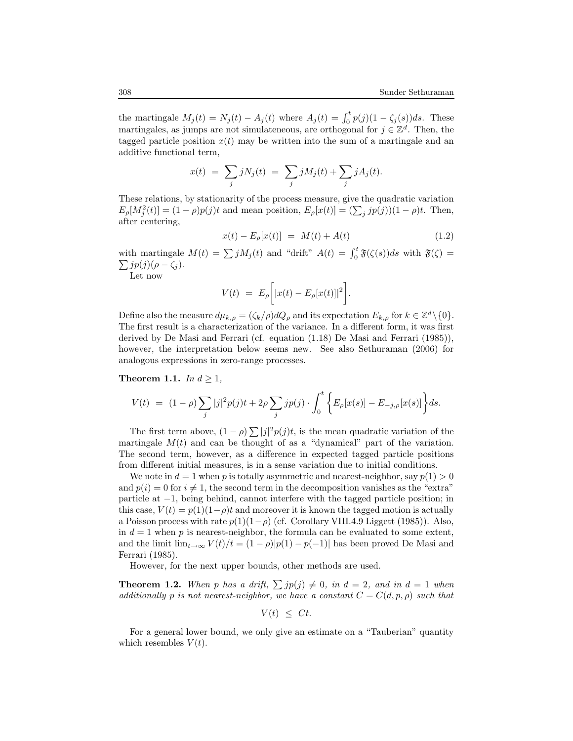the martingale  $M_j(t) = N_j(t) - A_j(t)$  where  $A_j(t) = \int_0^t p(j)(1 - \zeta_j(s))ds$ . These martingales, as jumps are not simulateneous, are orthogonal for  $j \in \mathbb{Z}^d$ . Then, the tagged particle position  $x(t)$  may be written into the sum of a martingale and an additive functional term,

$$
x(t) = \sum_{j} jN_j(t) = \sum_{j} jM_j(t) + \sum_{j} jA_j(t).
$$

These relations, by stationarity of the process measure, give the quadratic variation  $E_{\rho}[M_j^2(t)] = (1 - \rho)p(j)t$  and mean position,  $E_{\rho}[x(t)] = (\sum_j jp(j))(1 - \rho)t$ . Then, after centering,

$$
x(t) - E_{\rho}[x(t)] = M(t) + A(t)
$$
\n(1.2)

with martingale  $M(t) = \sum jM_j(t)$  and "drift"  $A(t) = \int_0^t \mathfrak{F}(\zeta(s))ds$  with  $\mathfrak{F}(\zeta) =$  $\sum j p(j) (\rho - \zeta_j).$ 

Let now

$$
V(t) = E_{\rho} \bigg[ |x(t) - E_{\rho}[x(t)]|^2 \bigg].
$$

Define also the measure  $d\mu_{k,\rho} = (\zeta_k/\rho)dQ_\rho$  and its expectation  $E_{k,\rho}$  for  $k \in \mathbb{Z}^d \setminus \{0\}$ . The first result is a characterization of the variance. In a different form, it was first derived by De Masi and Ferrari (cf. equation (1.18) De Masi and Ferrari (1985)), however, the interpretation below seems new. See also Sethuraman (2006) for analogous expressions in zero-range processes.

Theorem 1.1. In  $d \geq 1$ ,

$$
V(t) = (1 - \rho) \sum_{j} |j|^2 p(j) t + 2\rho \sum_{j} j p(j) \cdot \int_0^t \left\{ E_{\rho}[x(s)] - E_{-j,\rho}[x(s)] \right\} ds.
$$

The first term above,  $(1 - \rho) \sum |j|^2 p(j)t$ , is the mean quadratic variation of the martingale  $M(t)$  and can be thought of as a "dynamical" part of the variation. The second term, however, as a difference in expected tagged particle positions from different initial measures, is in a sense variation due to initial conditions.

We note in  $d = 1$  when p is totally asymmetric and nearest-neighbor, say  $p(1) > 0$ and  $p(i) = 0$  for  $i \neq 1$ , the second term in the decomposition vanishes as the "extra" particle at −1, being behind, cannot interfere with the tagged particle position; in this case,  $V(t) = p(1)(1-\rho)t$  and moreover it is known the tagged motion is actually a Poisson process with rate  $p(1)(1-\rho)$  (cf. Corollary VIII.4.9 Liggett (1985)). Also, in  $d = 1$  when p is nearest-neighbor, the formula can be evaluated to some extent, and the limit  $\lim_{t\to\infty} V(t)/t = (1-\rho)|p(1)-p(-1)|$  has been proved De Masi and Ferrari (1985).

However, for the next upper bounds, other methods are used.

**Theorem 1.2.** When p has a drift,  $\sum jp(j) \neq 0$ , in  $d = 2$ , and in  $d = 1$  when additionally p is not nearest-neighbor, we have a constant  $C = C(d, p, \rho)$  such that

$$
V(t) \leq Ct.
$$

For a general lower bound, we only give an estimate on a "Tauberian" quantity which resembles  $V(t)$ .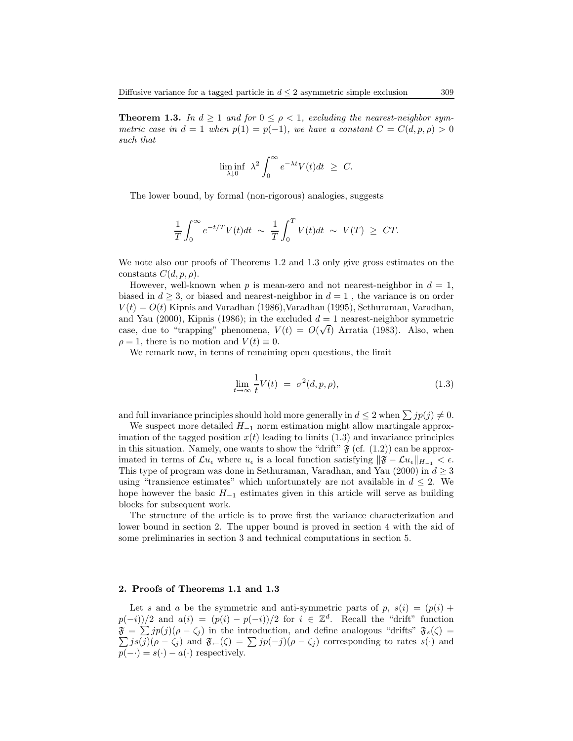**Theorem 1.3.** In  $d \ge 1$  and for  $0 \le \rho < 1$ , excluding the nearest-neighbor symmetric case in  $d = 1$  when  $p(1) = p(-1)$ , we have a constant  $C = C(d, p, \rho) > 0$ such that

$$
\liminf_{\lambda \downarrow 0} \lambda^2 \int_0^\infty e^{-\lambda t} V(t) dt \geq C.
$$

The lower bound, by formal (non-rigorous) analogies, suggests

$$
\frac{1}{T} \int_0^\infty e^{-t/T} V(t) dt \ \sim \ \frac{1}{T} \int_0^T V(t) dt \ \sim \ V(T) \ \geq \ CT.
$$

We note also our proofs of Theorems 1.2 and 1.3 only give gross estimates on the constants  $C(d, p, \rho)$ .

However, well-known when p is mean-zero and not nearest-neighbor in  $d = 1$ , biased in  $d \geq 3$ , or biased and nearest-neighbor in  $d = 1$ , the variance is on order  $V(t) = O(t)$  Kipnis and Varadhan (1986), Varadhan (1995), Sethuraman, Varadhan, and Yau (2000), Kipnis (1986); in the excluded  $d = 1$  nearest-neighbor symmetric case, due to "trapping" phenomena,  $V(t) = O(\sqrt{t})$  Arratia (1983). Also, when  $\rho = 1$ , there is no motion and  $V(t) \equiv 0$ .

We remark now, in terms of remaining open questions, the limit

$$
\lim_{t \to \infty} \frac{1}{t} V(t) = \sigma^2(d, p, \rho), \tag{1.3}
$$

and full invariance principles should hold more generally in  $d \leq 2$  when  $\sum j p(j) \neq 0$ .

We suspect more detailed  $H_{-1}$  norm estimation might allow martingale approximation of the tagged position  $x(t)$  leading to limits (1.3) and invariance principles in this situation. Namely, one wants to show the "drift"  $\mathfrak{F}$  (cf. (1.2)) can be approximated in terms of  $\mathcal{L}u_{\epsilon}$  where  $u_{\epsilon}$  is a local function satisfying  $\|\mathfrak{F} - \mathcal{L}u_{\epsilon}\|_{H_{-1}} < \epsilon$ . This type of program was done in Sethuraman, Varadhan, and Yau (2000) in  $d \geq 3$ using "transience estimates" which unfortunately are not available in  $d \leq 2$ . We hope however the basic  $H_{-1}$  estimates given in this article will serve as building blocks for subsequent work.

The structure of the article is to prove first the variance characterization and lower bound in section 2. The upper bound is proved in section 4 with the aid of some preliminaries in section 3 and technical computations in section 5.

#### 2. Proofs of Theorems 1.1 and 1.3

Let s and a be the symmetric and anti-symmetric parts of p,  $s(i) = (p(i) +$  $p(-i)/2$  and  $a(i) = (p(i) - p(-i))/2$  for  $i \in \mathbb{Z}^d$ . Recall the "drift" function  $\mathfrak{F} = \sum jp(j)(\rho - \zeta_j)$  in the introduction, and define analogous "drifts"  $\mathfrak{F}_s(\zeta) =$  $\sum j s(j)(\rho - \zeta_j)$  and  $\mathfrak{F}_{\leftarrow}(\zeta) = \sum j p(-j)(\rho - \zeta_j)$  corresponding to rates s(.) and  $p(-\cdot) = s(\cdot) - a(\cdot)$  respectively.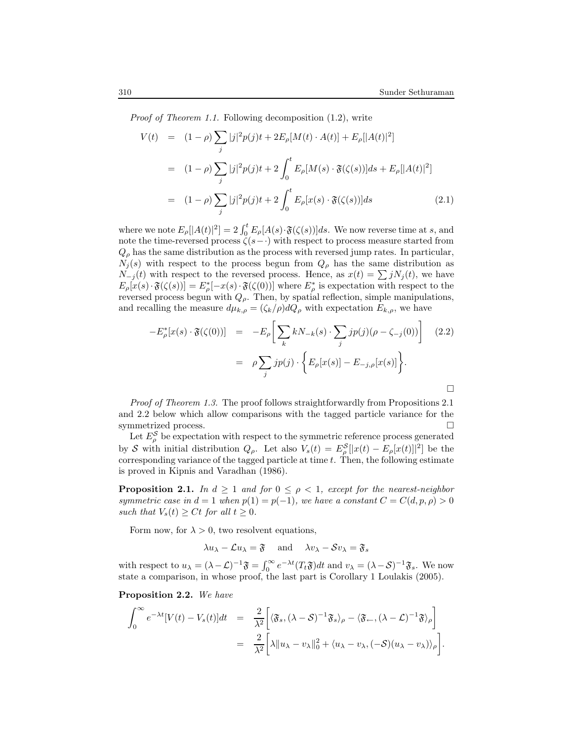Proof of Theorem 1.1. Following decomposition (1.2), write

$$
V(t) = (1 - \rho) \sum_{j} |j|^2 p(j)t + 2E_{\rho}[M(t) \cdot A(t)] + E_{\rho}[|A(t)|^2]
$$
  

$$
= (1 - \rho) \sum_{j} |j|^2 p(j)t + 2 \int_0^t E_{\rho}[M(s) \cdot \mathfrak{F}(\zeta(s))]ds + E_{\rho}[|A(t)|^2]
$$
  

$$
= (1 - \rho) \sum_{j} |j|^2 p(j)t + 2 \int_0^t E_{\rho}[x(s) \cdot \mathfrak{F}(\zeta(s))]ds
$$
(2.1)

where we note  $E_{\rho}[|A(t)|^2] = 2 \int_0^t E_{\rho}[A(s) \cdot \mathfrak{F}(\zeta(s))]ds$ . We now reverse time at s, and note the time-reversed process  $\zeta(s-\cdot)$  with respect to process measure started from  $Q_{\rho}$  has the same distribution as the process with reversed jump rates. In particular,  $N_j(s)$  with respect to the process begun from  $Q_\rho$  has the same distribution as  $N_{-j}(t)$  with respect to the reversed process. Hence, as  $x(t) = \sum j N_j(t)$ , we have  $E_{\rho}[x(s)\cdot \mathfrak{F}(\zeta(s))] = E_{\rho}^{*}[-x(s)\cdot \mathfrak{F}(\zeta(0))]$  where  $E_{\rho}^{*}$  is expectation with respect to the reversed process begun with  $Q_{\rho}$ . Then, by spatial reflection, simple manipulations, and recalling the measure  $d\mu_{k,\rho} = (\zeta_k/\rho) dQ_\rho$  with expectation  $E_{k,\rho}$ , we have

$$
-E_{\rho}^{*}[x(s)\cdot \mathfrak{F}(\zeta(0))] = -E_{\rho}\bigg[\sum_{k} kN_{-k}(s)\cdot \sum_{j}jp(j)(\rho-\zeta_{-j}(0))\bigg] \quad (2.2)
$$

$$
= \rho\sum_{j}jp(j)\cdot \bigg\{E_{\rho}[x(s)] - E_{-j,\rho}[x(s)]\bigg\}.
$$

Proof of Theorem 1.3. The proof follows straightforwardly from Propositions 2.1 and 2.2 below which allow comparisons with the tagged particle variance for the symmetrized process.

Let  $E_{\rho}^{\mathcal{S}}$  be expectation with respect to the symmetric reference process generated by S with initial distribution  $Q_{\rho}$ . Let also  $V_s(t) = E_{\rho}^{\mathcal{S}}[|x(t) - E_{\rho}[x(t)]|^2]$  be the corresponding variance of the tagged particle at time  $t$ . Then, the following estimate is proved in Kipnis and Varadhan (1986).

**Proposition 2.1.** In  $d \geq 1$  and for  $0 \leq \rho < 1$ , except for the nearest-neighbor symmetric case in  $d = 1$  when  $p(1) = p(-1)$ , we have a constant  $C = C(d, p, \rho) > 0$ such that  $V_s(t) \geq Ct$  for all  $t \geq 0$ .

Form now, for  $\lambda > 0$ , two resolvent equations,

 $\lambda u_\lambda - \mathcal{L}u_\lambda = \mathfrak{F}$  and  $\lambda v_\lambda - \mathcal{S}v_\lambda = \mathfrak{F}_s$ 

with respect to  $u_\lambda = (\lambda - \mathcal{L})^{-1} \mathfrak{F} = \int_0^\infty e^{-\lambda t} (T_t \mathfrak{F}) dt$  and  $v_\lambda = (\lambda - \mathcal{S})^{-1} \mathfrak{F}_s$ . We now state a comparison, in whose proof, the last part is Corollary 1 Loulakis (2005).

Proposition 2.2. We have

$$
\int_0^\infty e^{-\lambda t} [V(t) - V_s(t)] dt = \frac{2}{\lambda^2} \left[ \langle \mathfrak{F}_s, (\lambda - S)^{-1} \mathfrak{F}_s \rangle_\rho - \langle \mathfrak{F}_\leftarrow, (\lambda - \mathcal{L})^{-1} \mathfrak{F} \rangle_\rho \right]
$$
  

$$
= \frac{2}{\lambda^2} \left[ \lambda \| u_\lambda - v_\lambda \|_0^2 + \langle u_\lambda - v_\lambda, (-S)(u_\lambda - v_\lambda) \rangle_\rho \right].
$$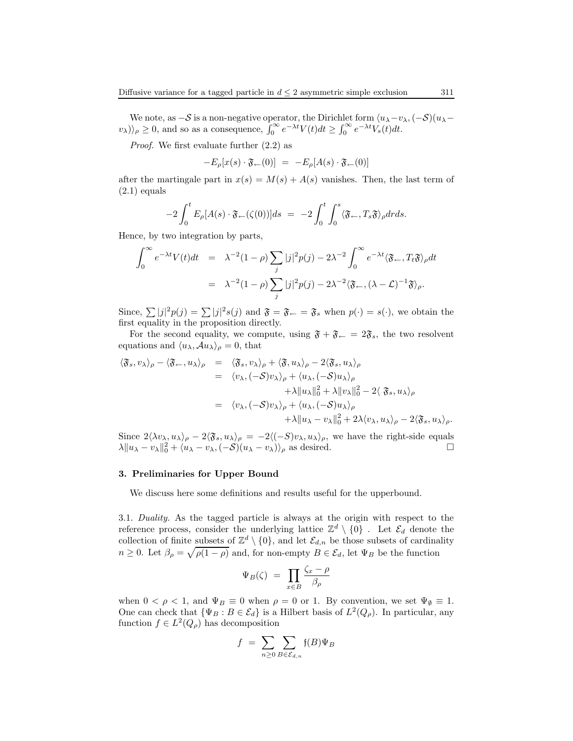We note, as  $-S$  is a non-negative operator, the Dirichlet form  $\langle u_{\lambda}-v_{\lambda},(-S)(u_{\lambda}-s)\rangle$  $(v_\lambda)_{\rho} \ge 0$ , and so as a consequence,  $\int_0^\infty e^{-\lambda t} V(t) dt \ge \int_0^\infty e^{-\lambda t} V_s(t) dt$ .

Proof. We first evaluate further (2.2) as

$$
-E_{\rho}[x(s)\cdot \mathfrak{F}_{\leftarrow}(0)] = -E_{\rho}[A(s)\cdot \mathfrak{F}_{\leftarrow}(0)]
$$

after the martingale part in  $x(s) = M(s) + A(s)$  vanishes. Then, the last term of  $(2.1)$  equals

$$
-2\int_0^t E_\rho[A(s)\cdot \mathfrak{F}_{\leftarrow}(\zeta(0))]ds = -2\int_0^t \int_0^s \langle \mathfrak{F}_{\leftarrow}, T_s \mathfrak{F} \rangle_\rho dr ds.
$$

Hence, by two integration by parts,

$$
\int_0^\infty e^{-\lambda t} V(t) dt = \lambda^{-2} (1 - \rho) \sum_j |j|^2 p(j) - 2\lambda^{-2} \int_0^\infty e^{-\lambda t} \langle \mathfrak{F}_{\leftarrow}, T_t \mathfrak{F} \rangle_\rho dt
$$
  
=  $\lambda^{-2} (1 - \rho) \sum_j |j|^2 p(j) - 2\lambda^{-2} \langle \mathfrak{F}_{\leftarrow}, (\lambda - \mathcal{L})^{-1} \mathfrak{F} \rangle_\rho.$ 

Since,  $\sum |j|^2 p(j) = \sum |j|^2 s(j)$  and  $\mathfrak{F} = \mathfrak{F}_{\leftarrow} = \mathfrak{F}_{s}$  when  $p(\cdot) = s(\cdot)$ , we obtain the first equality in the proposition directly.

For the second equality, we compute, using  $\mathfrak{F} + \mathfrak{F}_{\leftarrow} = 2\mathfrak{F}_{s}$ , the two resolvent equations and  $\langle u_{\lambda}, \mathcal{A}u_{\lambda} \rangle_{\rho} = 0$ , that

$$
\langle \mathfrak{F}_s, v_\lambda \rangle_\rho - \langle \mathfrak{F}_{\leftarrow}, u_\lambda \rangle_\rho = \langle \mathfrak{F}_s, v_\lambda \rangle_\rho + \langle \mathfrak{F}, u_\lambda \rangle_\rho - 2 \langle \mathfrak{F}_s, u_\lambda \rangle_\rho \n= \langle v_\lambda, (-S) v_\lambda \rangle_\rho + \langle u_\lambda, (-S) u_\lambda \rangle_\rho \n+ \lambda \| u_\lambda \|_0^2 + \lambda \| v_\lambda \|_0^2 - 2 \langle \mathfrak{F}_s, u_\lambda \rangle_\rho \n= \langle v_\lambda, (-S) v_\lambda \rangle_\rho + \langle u_\lambda, (-S) u_\lambda \rangle_\rho \n+ \lambda \| u_\lambda - v_\lambda \|_0^2 + 2 \lambda \langle v_\lambda, u_\lambda \rangle_\rho - 2 \langle \mathfrak{F}_s, u_\lambda \rangle_\rho.
$$

Since  $2\langle \lambda v_\lambda, u_\lambda \rangle_\rho - 2\langle \mathfrak{F}_s, u_\lambda \rangle_\rho = -2\langle (-S)v_\lambda, u_\lambda \rangle_\rho$ , we have the right-side equals  $\lambda \| u_\lambda - v_\lambda \|_2^2 + \langle u_\lambda - v_\lambda, (-S)(u_\lambda - v_\lambda) \rangle_\rho$  as desired.  $\lambda \|u_{\lambda} - v_{\lambda}\|_0^2 + \langle u_{\lambda} - v_{\lambda}, (-S)(u_{\lambda} - v_{\lambda})\rangle_{\rho}$  as desired.

#### 3. Preliminaries for Upper Bound

We discuss here some definitions and results useful for the upperbound.

3.1. Duality. As the tagged particle is always at the origin with respect to the reference process, consider the underlying lattice  $\mathbb{Z}^d \setminus \{0\}$ . Let  $\mathcal{E}_d$  denote the collection of finite subsets of  $\mathbb{Z}^d \setminus \{0\}$ , and let  $\mathcal{E}_{d,n}$  be those subsets of cardinality  $n \geq 0$ . Let  $\beta_{\rho} = \sqrt{\rho(1-\rho)}$  and, for non-empty  $B \in \mathcal{E}_d$ , let  $\Psi_B$  be the function

$$
\Psi_B(\zeta) = \prod_{x \in B} \frac{\zeta_x - \rho}{\beta_\rho}
$$

when  $0 < \rho < 1$ , and  $\Psi_B \equiv 0$  when  $\rho = 0$  or 1. By convention, we set  $\Psi_{\emptyset} \equiv 1$ . One can check that  $\{\Psi_B : B \in \mathcal{E}_d\}$  is a Hilbert basis of  $L^2(Q_\rho)$ . In particular, any function  $f \in L^2(Q_\rho)$  has decomposition

$$
f \ = \ \sum_{n\geq 0} \sum_{B\in \mathcal{E}_{d,n}} \mathfrak{f}(B) \Psi_B
$$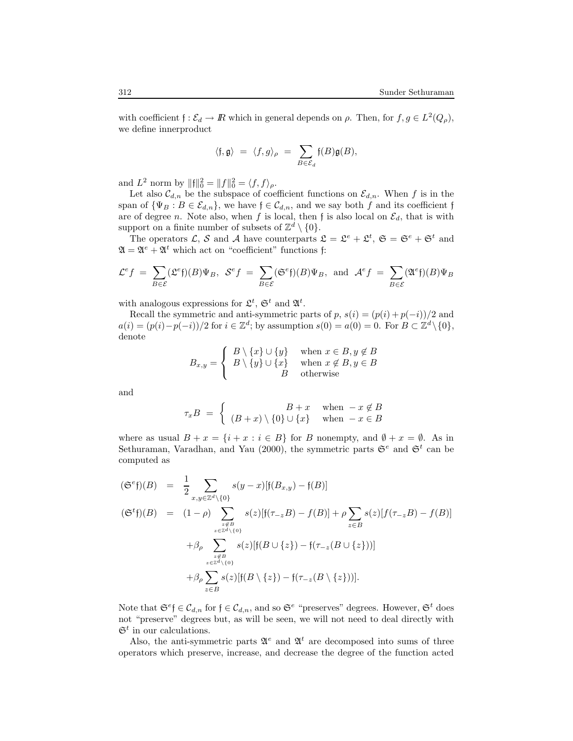with coefficient  $f : \mathcal{E}_d \to \mathbb{R}$  which in general depends on  $\rho$ . Then, for  $f, g \in L^2(Q_\rho)$ , we define innerproduct

$$
\langle \mathfrak{f}, \mathfrak{g} \rangle = \langle f, g \rangle_{\rho} = \sum_{B \in \mathcal{E}_d} \mathfrak{f}(B) \mathfrak{g}(B),
$$

and  $L^2$  norm by  $||f||_0^2 = ||f||_0^2 = \langle f, f \rangle_\rho$ .

Let also  $\mathcal{C}_{d,n}$  be the subspace of coefficient functions on  $\mathcal{E}_{d,n}$ . When f is in the span of  $\{\Psi_B : B \in \mathcal{E}_{d,n}\},$  we have  $f \in \mathcal{C}_{d,n}$ , and we say both f and its coefficient f are of degree n. Note also, when f is local, then f is also local on  $\mathcal{E}_d$ , that is with support on a finite number of subsets of  $\mathbb{Z}^d \setminus \{0\}$ .

The operators L, S and A have counterparts  $\mathfrak{L} = \mathfrak{L}^e + \mathfrak{L}^t$ ,  $\mathfrak{S} = \mathfrak{S}^e + \mathfrak{S}^t$  and  $\mathfrak{A} = \mathfrak{A}^e + \mathfrak{A}^t$  which act on "coefficient" functions f:

$$
\mathcal{L}^{e}f = \sum_{B \in \mathcal{E}} (\mathcal{L}^{e}\mathfrak{f})(B)\Psi_{B}, \ \mathcal{S}^{e}f = \sum_{B \in \mathcal{E}} (\mathfrak{S}^{e}\mathfrak{f})(B)\Psi_{B}, \text{ and } \mathcal{A}^{e}f = \sum_{B \in \mathcal{E}} (\mathfrak{A}^{e}\mathfrak{f})(B)\Psi_{B}
$$

with analogous expressions for  $\mathfrak{L}^t$ ,  $\mathfrak{S}^t$  and  $\mathfrak{A}^t$ .

Recall the symmetric and anti-symmetric parts of p,  $s(i) = (p(i) + p(-i))/2$  and  $a(i) = (p(i) - p(-i))/2$  for  $i \in \mathbb{Z}^d$ ; by assumption  $s(0) = a(0) = 0$ . For  $B \subset \mathbb{Z}^d \setminus \{0\}$ , denote

$$
B_{x,y} = \begin{cases} B \setminus \{x\} \cup \{y\} & \text{when } x \in B, y \notin B \\ B \setminus \{y\} \cup \{x\} & \text{when } x \notin B, y \in B \\ B & \text{otherwise} \end{cases}
$$

and

$$
\tau_x B = \begin{cases} B+x & \text{when } -x \notin B \\ (B+x) \setminus \{0\} \cup \{x\} & \text{when } -x \in B \end{cases}
$$

where as usual  $B + x = \{i + x : i \in B\}$  for B nonempty, and  $\emptyset + x = \emptyset$ . As in Sethuraman, Varadhan, and Yau (2000), the symmetric parts  $\mathfrak{S}^e$  and  $\mathfrak{S}^t$  can be computed as

$$
\begin{array}{rcl}\n(\mathfrak{S}^{e}\mathfrak{f})(B) & = & \frac{1}{2} \sum_{x,y \in \mathbb{Z}^{d} \setminus \{0\}} s(y-x) [\mathfrak{f}(B_{x,y}) - \mathfrak{f}(B)] \\
(\mathfrak{S}^{t}\mathfrak{f})(B) & = & (1-\rho) \sum_{z \in B} s(z) [\mathfrak{f}(\tau_{-z}B) - f(B)] + \rho \sum_{z \in B} s(z) [f(\tau_{-z}B) - f(B)] \\
& & + \beta_{\rho} \sum_{z \in \mathbb{Z}^{d} \setminus \{0\}} s(z) [\mathfrak{f}(B \cup \{z\}) - \mathfrak{f}(\tau_{-z}(B \cup \{z\}))] \\
& & + \beta_{\rho} \sum_{z \in B} s(z) [\mathfrak{f}(B \setminus \{z\}) - \mathfrak{f}(\tau_{-z}(B \setminus \{z\}))].\n\end{array}
$$

Note that  $\mathfrak{S}^e \in \mathcal{C}_{d,n}$  for  $\mathfrak{f} \in \mathcal{C}_{d,n}$ , and so  $\mathfrak{S}^e$  "preserves" degrees. However,  $\mathfrak{S}^t$  does not "preserve" degrees but, as will be seen, we will not need to deal directly with  $\mathfrak{S}^t$  in our calculations.

Also, the anti-symmetric parts  $\mathfrak{A}^e$  and  $\mathfrak{A}^t$  are decomposed into sums of three operators which preserve, increase, and decrease the degree of the function acted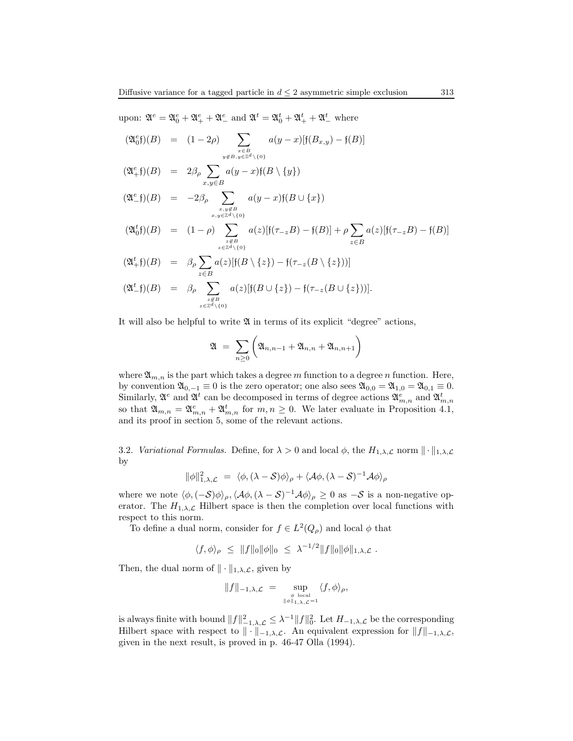upon:  $\mathfrak{A}^e = \mathfrak{A}_0^e + \mathfrak{A}_+^e + \mathfrak{A}_-^e$  and  $\mathfrak{A}^t = \mathfrak{A}_0^t + \mathfrak{A}_+^t + \mathfrak{A}_-^t$  where

$$
(\mathfrak{A}_0^e \mathfrak{f})(B) = (1 - 2\rho) \sum_{\substack{x \in B \\ y \notin B, y \in \mathbb{Z}^d \setminus \{0\}}} a(y - x) [\mathfrak{f}(B_{x,y}) - \mathfrak{f}(B)]
$$

$$
(\mathfrak{A}_{+}^{e}\mathfrak{f})(B) = 2\beta_{\rho} \sum_{x,y \in B} a(y-x)\mathfrak{f}(B \setminus \{y\})
$$

$$
(\mathfrak{A}_{-}^{e}\mathfrak{f})(B) = -2\beta_{\rho} \sum_{\substack{x,y \notin B \\ x,y \in \mathbb{Z}^{d}\setminus\{0\}}} a(y-x)\mathfrak{f}(B \cup \{x\})
$$

$$
(\mathfrak{A}_0^t \mathfrak{f})(B) = (1 - \rho) \sum_{\substack{z \notin B \\ z \in \mathbb{Z}^d \setminus \{0\}}} a(z) [\mathfrak{f}(\tau_{-z} B) - \mathfrak{f}(B)] + \rho \sum_{z \in B} a(z) [\mathfrak{f}(\tau_{-z} B) - \mathfrak{f}(B)]
$$

$$
\begin{array}{rcl}\n(\mathfrak{A}_{+}^{t}) (B) & = & \beta_{\rho} \sum_{z \in B} a(z) [f(B \setminus \{z\}) - f(\tau_{-z}(B \setminus \{z\}))] \\
(\mathfrak{A}_{-}^{t} f)(B) & = & \beta_{\rho} \sum_{z \in B} a(z) [f(B \cup \{z\}) - f(\tau_{-z}(B \cup \{z\}))].\n\end{array}
$$

It will also be helpful to write  $\mathfrak A$  in terms of its explicit "degree" actions,

$$
\mathfrak{A} = \sum_{n \geq 0} \left( \mathfrak{A}_{n,n-1} + \mathfrak{A}_{n,n} + \mathfrak{A}_{n,n+1} \right)
$$

where  $\mathfrak{A}_{m,n}$  is the part which takes a degree m function to a degree n function. Here, by convention  $\mathfrak{A}_{0,-1} \equiv 0$  is the zero operator; one also sees  $\mathfrak{A}_{0,0} = \mathfrak{A}_{1,0} = \mathfrak{A}_{0,1} \equiv 0$ . Similarly,  $\mathfrak{A}^e$  and  $\mathfrak{A}^t$  can be decomposed in terms of degree actions  $\mathfrak{A}_{m,n}^e$  and  $\mathfrak{A}_{m,n}^t$ so that  $\mathfrak{A}_{m,n} = \mathfrak{A}_{m,n}^e + \mathfrak{A}_{m,n}^t$  for  $m, n \geq 0$ . We later evaluate in Proposition 4.1, and its proof in section 5, some of the relevant actions.

3.2. *Variational Formulas.* Define, for  $\lambda > 0$  and local  $\phi$ , the  $H_{1,\lambda,\mathcal{L}}$  norm  $\|\cdot\|_{1,\lambda,\mathcal{L}}$ by

$$
\|\phi\|_{1,\lambda,\mathcal{L}}^2 = \langle \phi, (\lambda - \mathcal{S})\phi \rangle_{\rho} + \langle \mathcal{A}\phi, (\lambda - \mathcal{S})^{-1} \mathcal{A}\phi \rangle_{\rho}
$$

where we note  $\langle \phi, (-S)\phi \rangle_{\rho}, \langle A\phi, (\lambda - S)^{-1}A\phi \rangle_{\rho} \geq 0$  as  $-S$  is a non-negative operator. The  $H_{1,\lambda,\mathcal{L}}$  Hilbert space is then the completion over local functions with respect to this norm.

To define a dual norm, consider for  $f \in L^2(Q_\rho)$  and local  $\phi$  that

$$
\langle f, \phi \rangle_{\rho} \leq ||f||_0 ||\phi||_0 \leq \lambda^{-1/2} ||f||_0 ||\phi||_{1,\lambda,\mathcal{L}}.
$$

Then, the dual norm of  $\|\cdot\|_{1,\lambda,\mathcal{L}}$ , given by

$$
||f||_{-1,\lambda,\mathcal{L}} = \sup_{\phi \text{ local} \atop ||\phi||_{1,\lambda,\mathcal{L}}=1} \langle f, \phi \rangle_{\rho},
$$

is always finite with bound  $||f||_{-1,\lambda,\mathcal{L}}^2 \leq \lambda^{-1} ||f||_0^2$ . Let  $H_{-1,\lambda,\mathcal{L}}$  be the corresponding Hilbert space with respect to  $\|\cdot\|_{-1,\lambda,\mathcal{L}}$ . An equivalent expression for  $||f||_{-1,\lambda,\mathcal{L}}$ , given in the next result, is proved in p. 46-47 Olla (1994).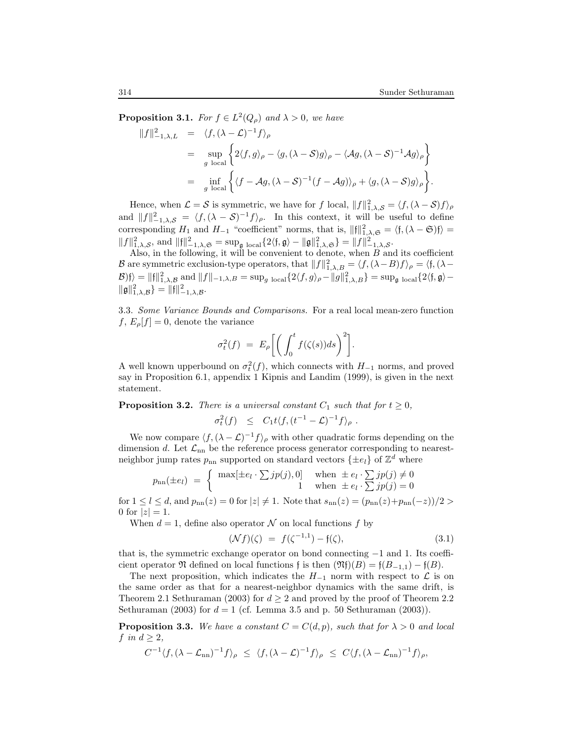**Proposition 3.1.** For  $f \in L^2(Q_\rho)$  and  $\lambda > 0$ , we have

$$
||f||_{-1,\lambda,L}^{2} = \langle f, (\lambda - \mathcal{L})^{-1} f \rangle_{\rho}
$$
  
= 
$$
\sup_{g \text{ local}} \left\{ 2 \langle f, g \rangle_{\rho} - \langle g, (\lambda - S) g \rangle_{\rho} - \langle \mathcal{A}g, (\lambda - S)^{-1} \mathcal{A}g \rangle_{\rho} \right\}
$$
  
= 
$$
\inf_{g \text{ local}} \left\{ \langle f - \mathcal{A}g, (\lambda - S)^{-1} (f - \mathcal{A}g) \rangle_{\rho} + \langle g, (\lambda - S)g \rangle_{\rho} \right\}.
$$

Hence, when  $\mathcal{L} = \mathcal{S}$  is symmetric, we have for f local,  $||f||_{1,\lambda,\mathcal{S}}^2 = \langle f, (\lambda - \mathcal{S})f \rangle_{\rho}$ and  $||f||_{-1,\lambda,\mathcal{S}}^2 = \langle f, (\lambda - \mathcal{S})^{-1} f \rangle_{\rho}$ . In this context, it will be useful to define corresponding  $H_1$  and  $H_{-1}$  "coefficient" norms, that is,  $||\mathfrak{f}||_{1,\lambda,\mathfrak{S}}^2 = \langle \mathfrak{f},(\lambda-\mathfrak{S})\mathfrak{f}\rangle =$  $||f||_{1,\lambda,\mathcal{S}}^2$ , and  $||f||_{-1,\lambda,\mathfrak{S}}^2 = \sup_{\mathfrak{g} \text{ local}} \{2 \langle \mathfrak{f}, \mathfrak{g} \rangle - ||\mathfrak{g}||_{1,\lambda,\mathfrak{S}}^2\} = ||f||_{-1,\lambda,\mathcal{S}}^2$ .

Also, in the following, it will be convenient to denote, when  $B$  and its coefficient B are symmetric exclusion-type operators, that  $||f||_{1,\lambda,B}^2 = \langle f, (\lambda - B)f \rangle_{\rho} = \langle f, (\lambda - B)f \rangle_{\rho}$  $\langle B \rangle f \rangle = \|f\|^2_{1,\lambda,\mathcal{B}}$  and  $||f||_{-1,\lambda,B} = \sup_{g \text{ local}} \{2 \langle f, g \rangle_{\rho} - ||g||^2_{1,\lambda,B}\} = \sup_{g \text{ local}} \{2 \langle f, g \rangle - ||g||^2_{2,\lambda,B}\}$  $\|\mathfrak{g}\|^2_{1,\lambda,\mathcal{B}} = \|\mathfrak{f}\|^2_{-1,\lambda,\mathcal{B}}.$ 

3.3. Some Variance Bounds and Comparisons. For a real local mean-zero function  $f, E_{\rho}[f] = 0$ , denote the variance

$$
\sigma_t^2(f) = E_\rho \bigg[ \bigg( \int_0^t f(\zeta(s)) ds \bigg)^2 \bigg].
$$

A well known upperbound on  $\sigma_t^2(f)$ , which connects with  $H_{-1}$  norms, and proved say in Proposition 6.1, appendix 1 Kipnis and Landim (1999), is given in the next statement.

**Proposition 3.2.** There is a universal constant  $C_1$  such that for  $t \geq 0$ ,

$$
\sigma_t^2(f) \leq C_1 t \langle f, (t^{-1} - \mathcal{L})^{-1} f \rangle_{\rho} .
$$

We now compare  $\langle f, (\lambda - \mathcal{L})^{-1} f \rangle_{\rho}$  with other quadratic forms depending on the dimension d. Let  $\mathcal{L}_{nn}$  be the reference process generator corresponding to nearestneighbor jump rates  $p_{\rm nn}$  supported on standard vectors  $\{\pm e_l\}$  of  $\mathbb{Z}^d$  where

$$
p_{nn}(\pm e_l) = \begin{cases} \max[\pm e_l \cdot \sum j p(j), 0] & \text{when } \pm e_l \cdot \sum j p(j) \neq 0\\ 1 & \text{when } \pm e_l \cdot \sum j p(j) = 0 \end{cases}
$$

for  $1 \leq l \leq d$ , and  $p_{nn}(z) = 0$  for  $|z| \neq 1$ . Note that  $s_{nn}(z) = (p_{nn}(z) + p_{nn}(-z))/2 >$ 0 for  $|z| = 1$ .

When  $d = 1$ , define also operator N on local functions f by

$$
(\mathcal{N}f)(\zeta) = f(\zeta^{-1,1}) - f(\zeta), \tag{3.1}
$$

that is, the symmetric exchange operator on bond connecting −1 and 1. Its coefficient operator  $\mathfrak N$  defined on local functions f is then  $(\mathfrak N f)(B) = f(B_{-1,1}) - f(B)$ .

The next proposition, which indicates the  $H_{-1}$  norm with respect to  $\mathcal L$  is on the same order as that for a nearest-neighbor dynamics with the same drift, is Theorem 2.1 Sethuraman (2003) for  $d > 2$  and proved by the proof of Theorem 2.2 Sethuraman (2003) for  $d = 1$  (cf. Lemma 3.5 and p. 50 Sethuraman (2003)).

**Proposition 3.3.** We have a constant  $C = C(d, p)$ , such that for  $\lambda > 0$  and local f in  $d \geq 2$ ,

$$
C^{-1}\langle f, (\lambda - \mathcal{L}_{nn})^{-1} f \rangle_{\rho} \leq \langle f, (\lambda - \mathcal{L})^{-1} f \rangle_{\rho} \leq C \langle f, (\lambda - \mathcal{L}_{nn})^{-1} f \rangle_{\rho},
$$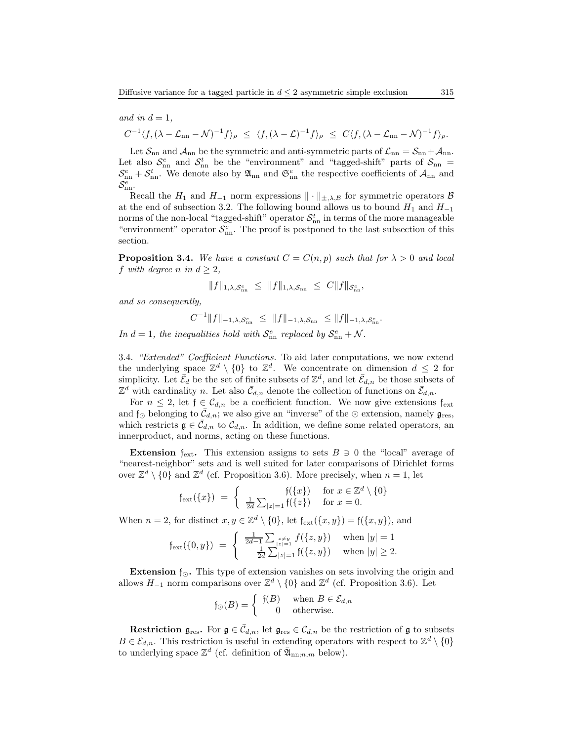and in 
$$
d = 1
$$
,

$$
C^{-1}\langle f,(\lambda-\mathcal{L}_{nn}-\mathcal{N})^{-1}f\rangle_{\rho} \leq \langle f,(\lambda-\mathcal{L})^{-1}f\rangle_{\rho} \leq C\langle f,(\lambda-\mathcal{L}_{nn}-\mathcal{N})^{-1}f\rangle_{\rho}.
$$

Let  $\mathcal{S}_{nn}$  and  $\mathcal{A}_{nn}$  be the symmetric and anti-symmetric parts of  $\mathcal{L}_{nn} = \mathcal{S}_{nn} + \mathcal{A}_{nn}$ . Let also  $S_{nn}^e$  and  $S_{nn}^t$  be the "environment" and "tagged-shift" parts of  $S_{nn}$  =  $S_{nn}^e + S_{nn}^t$ . We denote also by  $\mathfrak{A}_{nn}$  and  $\mathfrak{S}_{nn}^e$  the respective coefficients of  $\mathcal{A}_{nn}$  and  $\mathcal{S}_{\rm nn}^e$ .

Recall the  $H_1$  and  $H_{-1}$  norm expressions  $\|\cdot\|_{\pm,\lambda,\mathcal{B}}$  for symmetric operators  $\mathcal B$ at the end of subsection 3.2. The following bound allows us to bound  $H_1$  and  $H_{-1}$ norms of the non-local "tagged-shift" operator  $\mathcal{S}_{nn}^t$  in terms of the more manageable "environment" operator  $S_{nn}^e$ . The proof is postponed to the last subsection of this section.

**Proposition 3.4.** We have a constant  $C = C(n, p)$  such that for  $\lambda > 0$  and local f with degree n in  $d > 2$ ,

$$
||f||_{1,\lambda,\mathcal{S}_{\rm nn}^e} \leq ||f||_{1,\lambda,\mathcal{S}_{\rm nn}} \leq C||f||_{\mathcal{S}_{\rm nn}^e},
$$

and so consequently,

$$
C^{-1}||f||_{-1,\lambda,\mathcal{S}_{\rm nn}^e} \leq ||f||_{-1,\lambda,\mathcal{S}_{\rm nn}} \leq ||f||_{-1,\lambda,\mathcal{S}_{\rm nn}^e}.
$$

In  $d = 1$ , the inequalities hold with  $S_{nn}^e$  replaced by  $S_{nn}^e + \mathcal{N}$ .

3.4. "Extended" Coefficient Functions. To aid later computations, we now extend the underlying space  $\mathbb{Z}^d \setminus \{0\}$  to  $\mathbb{Z}^d$ . We concentrate on dimension  $d \leq 2$  for simplicity. Let  $\bar{\mathcal{E}}_d$  be the set of finite subsets of  $\mathbb{Z}^d$ , and let  $\bar{\mathcal{E}}_{d,n}$  be those subsets of  $\mathbb{Z}^d$  with cardinality n. Let also  $\bar{\mathcal{C}}_{d,n}$  denote the collection of functions on  $\bar{\mathcal{C}}_{d,n}$ .

For  $n \leq 2$ , let  $f \in \mathcal{C}_{d,n}$  be a coefficient function. We now give extensions  $f_{ext}$ and  $\mathfrak{f}_{\odot}$  belonging to  $\mathcal{\bar{C}}_{d,n}$ ; we also give an "inverse" of the  $\odot$  extension, namely  $\mathfrak{g}_{\text{res}}$ , which restricts  $\mathfrak{g} \in \bar{\mathcal{C}}_{d,n}$  to  $\mathcal{C}_{d,n}$ . In addition, we define some related operators, an innerproduct, and norms, acting on these functions.

**Extension**  $f_{ext}$ . This extension assigns to sets  $B \ni 0$  the "local" average of "nearest-neighbor" sets and is well suited for later comparisons of Dirichlet forms over  $\mathbb{Z}^d \setminus \{0\}$  and  $\mathbb{Z}^d$  (cf. Proposition 3.6). More precisely, when  $n = 1$ , let

$$
\mathfrak{f}_{\rm ext}(\{x\}) = \begin{cases} \mathfrak{f}(\{x\}) & \text{for } x \in \mathbb{Z}^d \setminus \{0\} \\ \frac{1}{2d} \sum_{|z|=1} \mathfrak{f}(\{z\}) & \text{for } x = 0. \end{cases}
$$

When  $n = 2$ , for distinct  $x, y \in \mathbb{Z}^d \setminus \{0\}$ , let  $f_{ext}(\{x, y\}) = f(\{x, y\})$ , and

$$
\mathfrak{f}_{\rm ext}(\{0,y\}) = \begin{cases} \frac{1}{2d-1} \sum_{\substack{z \neq y \\ 2d}} f(\{z,y\}) & \text{when } |y| = 1 \\ \frac{1}{2d} \sum_{|z|=1} |f(\{z,y\})| & \text{when } |y| \ge 2. \end{cases}
$$

**Extension**  $f_{\odot}$ . This type of extension vanishes on sets involving the origin and allows  $H_{-1}$  norm comparisons over  $\mathbb{Z}^d \setminus \{0\}$  and  $\mathbb{Z}^d$  (cf. Proposition 3.6). Let

$$
\mathfrak{f}_{\odot}(B) = \begin{cases} \mathfrak{f}(B) & \text{when } B \in \mathcal{E}_{d,n} \\ 0 & \text{otherwise.} \end{cases}
$$

**Restriction**  $\mathfrak{g}_{\text{res}}$ . For  $\mathfrak{g} \in \bar{\mathcal{C}}_{d,n}$ , let  $\mathfrak{g}_{\text{res}} \in \mathcal{C}_{d,n}$  be the restriction of  $\mathfrak{g}$  to subsets  $B \in \mathcal{E}_{d,n}$ . This restriction is useful in extending operators with respect to  $\mathbb{Z}^d \setminus \{0\}$ to underlying space  $\mathbb{Z}^d$  (cf. definition of  $\bar{\mathfrak{A}}_{nn;n,m}$  below).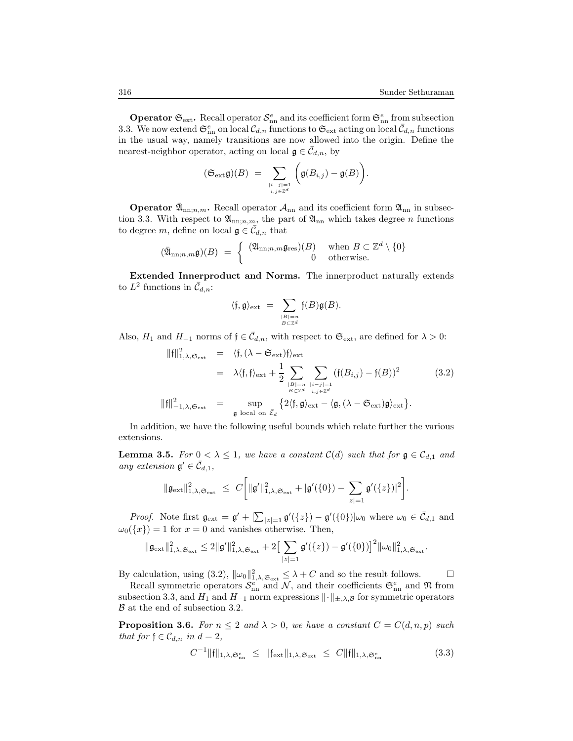**Operator**  $\mathfrak{S}_{ext}$ . Recall operator  $\mathcal{S}_{nn}^e$  and its coefficient form  $\mathfrak{S}_{nn}^e$  from subsection 3.3. We now extend  $\mathfrak{S}_{nn}^e$  on local  $\mathcal{C}_{d,n}$  functions to  $\mathfrak{S}_{ext}$  acting on local  $\bar{\mathcal{C}}_{d,n}$  functions in the usual way, namely transitions are now allowed into the origin. Define the nearest-neighbor operator, acting on local  $\mathfrak{g} \in \overline{\mathcal{C}}_{d,n}$ , by

$$
(\mathfrak{S}_{\rm ext}\mathfrak{g})(B) \;=\; \sum_{\stackrel{|i-j|=1}{i,j\in\mathbb{Z}^d}}\bigg(\mathfrak{g}(B_{i,j})-\mathfrak{g}(B)\bigg).
$$

**Operator**  $\bar{\mathfrak{A}}_{nn;n,m}$ . Recall operator  $\mathcal{A}_{nn}$  and its coefficient form  $\mathfrak{A}_{nn}$  in subsection 3.3. With respect to  $\mathfrak{A}_{nn,n,m}$ , the part of  $\mathfrak{A}_{nn}$  which takes degree *n* functions to degree m, define on local  $\mathfrak{g} \in \overline{\mathcal{C}}_{d,n}$  that

$$
(\bar{\mathfrak{A}}_{\mathrm{nn};n,m}\mathfrak{g})(B) = \begin{cases} (\mathfrak{A}_{\mathrm{nn};n,m}\mathfrak{g}_{\mathrm{res}})(B) & \text{when } B \subset \mathbb{Z}^d \setminus \{0\} \\ 0 & \text{otherwise.} \end{cases}
$$

Extended Innerproduct and Norms. The innerproduct naturally extends to  $L^2$  functions in  $\bar{\mathcal{C}}_{d,n}$ :

$$
\langle \mathfrak{f},\mathfrak{g} \rangle_{\mathrm{ext}} \ = \ \sum_{\stackrel{|B|=n}{B \subset \mathbb{Z}^d}} \mathfrak{f}(B) \mathfrak{g}(B).
$$

Also,  $H_1$  and  $H_{-1}$  norms of  $f \in \bar{C}_{d,n}$ , with respect to  $\mathfrak{S}_{ext}$ , are defined for  $\lambda > 0$ :

$$
\|f\|_{1,\lambda,\mathfrak{S}_{ext}}^2 = \langle f, (\lambda - \mathfrak{S}_{ext})f \rangle_{ext}
$$
  
\n
$$
= \lambda \langle f, f \rangle_{ext} + \frac{1}{2} \sum_{\substack{|B|=n \\ B \subset \mathbb{Z}^d}} \sum_{\substack{i,j=1 \\ i,j \in \mathbb{Z}^d \\ i,j \in \mathbb{Z}^d}} (f(B_{i,j}) - f(B))^2
$$
(3.2)  
\n
$$
\|f\|_{-1,\lambda,\mathfrak{S}_{ext}}^2 = \sup_{\mathfrak{g} \text{ local on } \bar{\mathcal{E}}_d} \{2 \langle f, \mathfrak{g} \rangle_{ext} - \langle \mathfrak{g}, (\lambda - \mathfrak{S}_{ext})\mathfrak{g} \rangle_{ext}\}.
$$

In addition, we have the following useful bounds which relate further the various extensions.

**Lemma 3.5.** For  $0 < \lambda \leq 1$ , we have a constant  $C(d)$  such that for  $g \in C_{d,1}$  and any extension  $\mathfrak{g}' \in \overline{\mathcal{C}}_{d,1}$ ,

$$
\|\mathfrak{g}_{\rm ext}\|_{1,\lambda,\mathfrak{S}_{\rm ext}}^2 \ \leq \ C\bigg[\|\mathfrak{g}'\|_{1,\lambda,\mathfrak{S}_{\rm ext}}^2 + |\mathfrak{g}'(\{0\}) - \sum_{|z|=1} \mathfrak{g}'(\{z\})|^2\bigg].
$$

*Proof.* Note first  $\mathfrak{g}_{ext} = \mathfrak{g}' + [\sum_{|z|=1} \mathfrak{g}'(\{z\}) - \mathfrak{g}'(\{0\})]\omega_0$  where  $\omega_0 \in \bar{\mathcal{C}}_{d,1}$  and  $\omega_0({x}) = 1$  for  $x = 0$  and vanishes otherwise. Then,

$$
\|\mathfrak{g}_{\rm ext}\|_{1, \lambda, \mathfrak{S}_{\rm ext}}^2 \leq 2\|\mathfrak{g}'\|_{1, \lambda, \mathfrak{S}_{\rm ext}}^2 + 2\big[\sum_{|z|=1} \mathfrak{g}'(\{z\}) - \mathfrak{g}'(\{0\})\big]^2 \|\omega_0\|_{1, \lambda, \mathfrak{S}_{\rm ext}}^2.
$$

By calculation, using (3.2),  $\|\omega_0\|_{1,\lambda,\mathfrak{S}_{\text{ext}}}^2 \leq \lambda + C$  and so the result follows.

Recall symmetric operators  $S_{nn}^e$  and N, and their coefficients  $\mathfrak{S}_{nn}^e$  and N from subsection 3.3, and  $H_1$  and  $H_{-1}$  norm expressions  $\|\cdot\|_{\pm,\lambda,\mathcal{B}}$  for symmetric operators B at the end of subsection 3.2.

**Proposition 3.6.** For  $n \leq 2$  and  $\lambda > 0$ , we have a constant  $C = C(d, n, p)$  such that for  $\mathfrak{f} \in \mathcal{C}_{d,n}$  in  $d = 2$ ,

$$
C^{-1} \|\mathfrak{f}\|_{1,\lambda,\mathfrak{S}_{\rm nn}^e} \le \|\mathfrak{f}_{\rm ext}\|_{1,\lambda,\mathfrak{S}_{\rm ext}} \le C \|\mathfrak{f}\|_{1,\lambda,\mathfrak{S}_{\rm nn}^e}
$$
(3.3)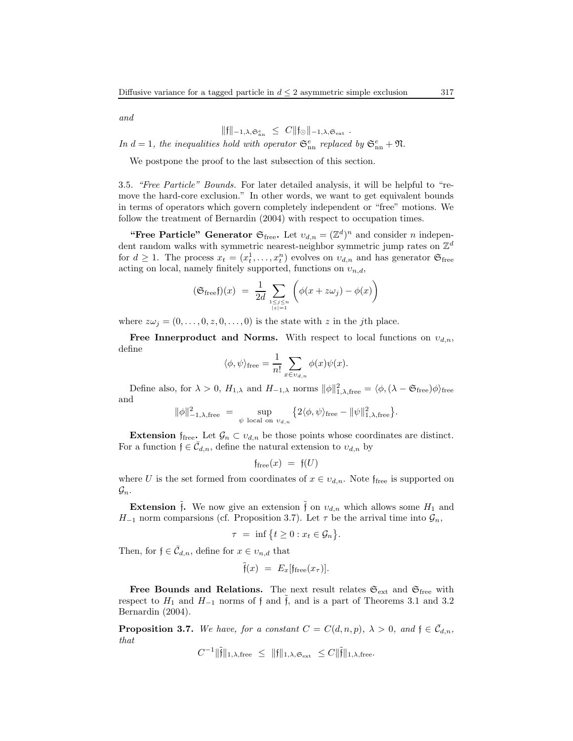and

$$
\|\mathfrak{f}\|_{-1,\lambda,\mathfrak{S}_{\rm nn}^e} \leq C \|\mathfrak{f}_{\odot}\|_{-1,\lambda,\mathfrak{S}_{\rm ext}}.
$$

In  $d = 1$ , the inequalities hold with operator  $\mathfrak{S}_{nn}^e$  replaced by  $\mathfrak{S}_{nn}^e + \mathfrak{N}$ .

We postpone the proof to the last subsection of this section.

3.5. "Free Particle" Bounds. For later detailed analysis, it will be helpful to "remove the hard-core exclusion." In other words, we want to get equivalent bounds in terms of operators which govern completely independent or "free" motions. We follow the treatment of Bernardin (2004) with respect to occupation times.

"Free Particle" Generator  $\mathfrak{S}_{\text{free}}$ . Let  $v_{d,n} = (\mathbb{Z}^d)^n$  and consider *n* independent random walks with symmetric nearest-neighbor symmetric jump rates on  $\mathbb{Z}^d$ for  $d \geq 1$ . The process  $x_t = (x_t^1, \ldots, x_t^n)$  evolves on  $v_{d,n}$  and has generator  $\mathfrak{S}_{\text{free}}$ acting on local, namely finitely supported, functions on  $v_{n,d}$ ,

$$
(\mathfrak{S}_{\text{free}}f)(x) = \frac{1}{2d} \sum_{1 \le j \le n \atop |z|=1} \left( \phi(x + z\omega_j) - \phi(x) \right)
$$

where  $z\omega_j = (0,\ldots,0,z,0,\ldots,0)$  is the state with z in the jth place.

**Free Innerproduct and Norms.** With respect to local functions on  $v_{d,n}$ , define

$$
\langle \phi, \psi \rangle_{\text{free}} = \frac{1}{n!} \sum_{x \in v_{d,n}} \phi(x) \psi(x).
$$

Define also, for  $\lambda > 0$ ,  $H_{1,\lambda}$  and  $H_{-1,\lambda}$  norms  $\|\phi\|_{1,\lambda,\text{free}}^2 = \langle \phi, (\lambda - \mathfrak{S}_{\text{free}}) \phi \rangle_{\text{free}}$ and

$$
\|\phi\|_{-1,\lambda,\text{free}}^2 = \sup_{\psi \text{ local on } v_{d,n}} \left\{2\langle \phi, \psi \rangle_{\text{free}} - \|\psi\|_{1,\lambda,\text{free}}^2\right\}.
$$

**Extension** f<sub>free</sub>. Let  $\mathcal{G}_n \subset v_{d,n}$  be those points whose coordinates are distinct. For a function  $\mathfrak{f} \in \overline{\mathcal{C}}_{d,n}$ , define the natural extension to  $v_{d,n}$  by

$$
\mathfrak{f}_{\operatorname{free}}(x) \; = \; \mathfrak{f}(U)
$$

where U is the set formed from coordinates of  $x \in v_{d,n}$ . Note f<sub>free</sub> is supported on  $\mathcal{G}_n$ .

**Extension** f. We now give an extension f on  $v_{d,n}$  which allows some  $H_1$  and  $H_{-1}$  norm comparsions (cf. Proposition 3.7). Let  $\tau$  be the arrival time into  $\mathcal{G}_n$ ,

$$
\tau = \inf \{ t \ge 0 : x_t \in \mathcal{G}_n \}.
$$

Then, for  $\mathfrak{f} \in \overline{\mathcal{C}}_{d,n}$ , define for  $x \in v_{n,d}$  that

$$
\tilde{\mathfrak{f}}(x) = E_x[\mathfrak{f}_{\text{free}}(x_\tau)].
$$

Free Bounds and Relations. The next result relates  $\mathfrak{S}_{\text{ext}}$  and  $\mathfrak{S}_{\text{free}}$  with respect to  $H_1$  and  $H_{-1}$  norms of f and  $\tilde{f}$ , and is a part of Theorems 3.1 and 3.2 Bernardin (2004).

**Proposition 3.7.** We have, for a constant  $C = C(d, n, p)$ ,  $\lambda > 0$ , and  $\mathfrak{f} \in \mathcal{C}_{d,n}$ , that

$$
C^{-1} \|\tilde{\mathfrak{f}}\|_{1, \lambda, \text{free}} \ \leq \ \| \mathfrak{f} \|_{1, \lambda, \mathfrak{S}_{\rm ext}} \ \leq C \| \tilde{\mathfrak{f}} \|_{1, \lambda, \text{free}}.
$$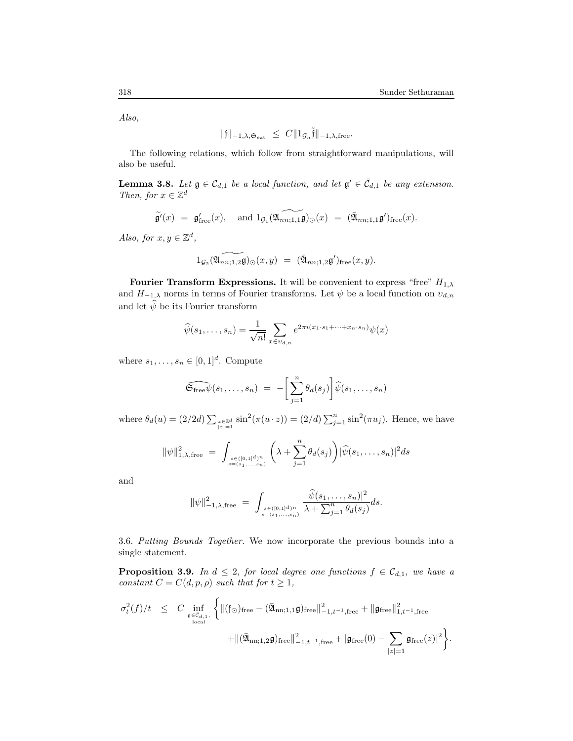Also,

$$
\|{\mathfrak{f}}\|_{-1,\lambda,{\mathfrak{S}_{\rm ext}}} \ \le\ C \|1_{{\mathcal{G}}_n} \tilde{\mathfrak{f}}\|_{-1,\lambda,{\rm free}}.
$$

The following relations, which follow from straightforward manipulations, will also be useful.

**Lemma 3.8.** Let  $\mathfrak{g} \in \mathcal{C}_{d,1}$  be a local function, and let  $\mathfrak{g}' \in \bar{\mathcal{C}}_{d,1}$  be any extension. Then, for  $x\in\mathbb{Z}^d$ 

$$
\widetilde{\mathfrak{g}'}(x) = \mathfrak{g}'_{\text{free}}(x), \text{ and } 1_{\mathcal{G}_1}(\widetilde{\mathfrak{A}_{nn;1,1}\mathfrak{g}})_{\odot}(x) = (\bar{\mathfrak{A}}_{nn;1,1}\mathfrak{g}')_{\text{free}}(x).
$$

Also, for  $x, y \in \mathbb{Z}^d$ ,

$$
\widehat{1_{\mathcal{G}_2}(\mathfrak{A}_{nn;1,2}\mathfrak{g})_{\odot}}(x,y) = (\bar{\mathfrak{A}}_{nn;1,2}\mathfrak{g}')_{\text{free}}(x,y).
$$

Fourier Transform Expressions. It will be convenient to express "free"  $H_{1,\lambda}$ and  $H_{-1,\lambda}$  norms in terms of Fourier transforms. Let  $\psi$  be a local function on  $v_{d,n}$ and let  $\widehat{\psi}$  be its Fourier transform

$$
\widehat{\psi}(s_1,\ldots,s_n) = \frac{1}{\sqrt{n!}} \sum_{x \in v_{d,n}} e^{2\pi i (x_1 \cdot s_1 + \cdots + x_n \cdot s_n)} \psi(x)
$$

where  $s_1, \ldots, s_n \in [0, 1]^d$ . Compute

$$
\widehat{\mathfrak{S}_{\operatorname{free}}\psi}(s_1,\ldots,s_n) \,\,=\,\, -\bigg[\sum_{j=1}^n \theta_d(s_j)\bigg]\widehat{\psi}(s_1,\ldots,s_n)
$$

where  $\theta_d(u) = (2/2d) \sum_{z \in \mathbb{Z}^d \atop |z|=1} \sin^2(\pi(u \cdot z)) = (2/d) \sum_{j=1}^n \sin^2(\pi u_j)$ . Hence, we have

$$
\|\psi\|_{1,\lambda,\text{free}}^2 = \int_{s \in (0,1]^d/n \atop s = (s_1,\ldots,s_n)} \left( \lambda + \sum_{j=1}^n \theta_d(s_j) \right) |\widehat{\psi}(s_1,\ldots,s_n)|^2 ds
$$

and

$$
\|\psi\|_{-1,\lambda,\text{free}}^2 = \int_{s \in ([0,1]^d)^n \atop s = (s_1,\ldots,s_n)} \frac{|\hat{\psi}(s_1,\ldots,s_n)|^2}{\lambda + \sum_{j=1}^n \theta_d(s_j)} ds.
$$

3.6. Putting Bounds Together. We now incorporate the previous bounds into a single statement.

**Proposition 3.9.** In  $d \leq 2$ , for local degree one functions  $f \in C_{d,1}$ , we have a constant  $C = C(d, p, \rho)$  such that for  $t \geq 1$ ,

$$
\begin{array}{lcl} \sigma_t^2(f)/t & \leq & \displaystyle C\inf_{\mathfrak{g}\in\mathcal{C}_{d,1},\\\mathrm{local}}\bigg\{\|(\mathfrak{f}_\odot)\mathrm{free}-(\bar{\mathfrak{A}}_{\mathrm{nn};1,1}\mathfrak{g})_{\mathrm{free}}\|_{-1,t^{-1},\mathrm{free}}^2+\|\mathfrak{g}_{\mathrm{free}}\|_{1,t^{-1},\mathrm{free}}^2\\ & & \displaystyle +\|(\bar{\mathfrak{A}}_{\mathrm{nn};1,2}\mathfrak{g})_{\mathrm{free}}\|_{-1,t^{-1},\mathrm{free}}^2+\left|\mathfrak{g}_{\mathrm{free}}(0)-\sum_{|z|=1}\mathfrak{g}_{\mathrm{free}}(z)\right|^2\bigg\}. \end{array}
$$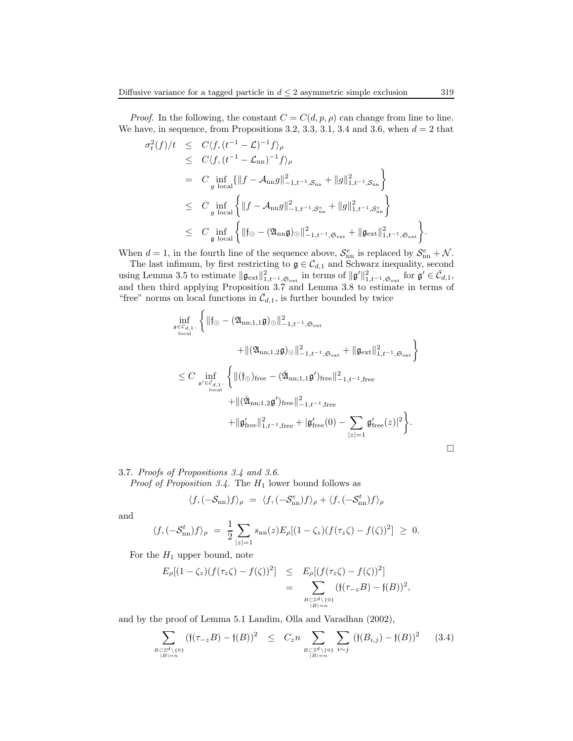*Proof.* In the following, the constant  $C = C(d, p, \rho)$  can change from line to line. We have, in sequence, from Propositions 3.2, 3.3, 3.1, 3.4 and 3.6, when  $d = 2$  that

$$
\sigma_t^2(f)/t \leq C \langle f, (t^{-1} - \mathcal{L})^{-1} f \rangle_{\rho} \n\leq C \langle f, (t^{-1} - \mathcal{L}_{nn})^{-1} f \rangle_{\rho} \n= C \inf_{g \text{ local}} \{ ||f - A_{nn}g||_{-1,t^{-1}, \mathcal{S}_{nn}}^2 + ||g||_{1,t^{-1}, \mathcal{S}_{nn}}^2 \} \n\leq C \inf_{g \text{ local}} \left\{ ||f - A_{nn}g||_{-1,t^{-1}, \mathcal{S}_{nn}^e}^2 + ||g||_{1,t^{-1}, \mathcal{S}_{nn}^e}^2 \right\} \n\leq C \inf_{g \text{ local}} \left\{ ||f_{\odot} - (\mathfrak{A}_{nn}\mathfrak{g})_{\odot}||_{-1,t^{-1}, \mathfrak{S}_{\text{ext}}}^2 + ||\mathfrak{g}_{\text{ext}}||_{1,t^{-1}, \mathfrak{S}_{\text{ext}}}^2 \right\}.
$$

When  $d = 1$ , in the fourth line of the sequence above,  $S_{nn}^e$  is replaced by  $S_{nn}^e + \mathcal{N}$ .

The last infimum, by first restricting to  $\mathfrak{g} \in \mathcal{C}_{d,1}$  and Schwarz inequality, second using Lemma 3.5 to estimate  $\|\mathfrak{g}_{\text{ext}}\|_{1,t^{-1},\mathfrak{S}_{\text{ext}}}^2$  in terms of  $\|\mathfrak{g}'\|_{1,t^{-1},\mathfrak{S}_{\text{ext}}}^2$  for  $\mathfrak{g}' \in \bar{\mathcal{C}}_{d,1}$ , and then third applying Proposition 3.7 and Lemma 3.8 to estimate in terms of "free" norms on local functions in  $\bar{\mathcal{C}}_{d,1}$ , is further bounded by twice

$$
\inf_{\mathfrak{g}\in\mathcal{C}_{d,1}, \atop \text{local}} \left\{ \|\mathfrak{f}_{\odot} - (\mathfrak{A}_{nn;1,1}\mathfrak{g})_{\odot}\|_{-1,t^{-1},\mathfrak{S}_{\rm ext}}^2 + \| \mathfrak{g}_{\rm ext} \|_{1,t^{-1},\mathfrak{S}_{\rm ext}}^2 + \| \mathfrak{g}_{\rm ext} \|_{1,t^{-1},\mathfrak{S}_{\rm ext}}^2 \right\}
$$
\n
$$
\leq C \inf_{\mathfrak{g}'\in\mathcal{C}_{d,1}, \atop \text{local}} \left\{ \|(\mathfrak{f}_{\odot})_{\rm free} - (\bar{\mathfrak{A}}_{nn;1,1}\mathfrak{g}')_{\rm free} \|_{-1,t^{-1},\rm free}^2 + \| \mathfrak{g}'_{\rm free} \|_{1,t^{-1},\rm free}^2 + \| \mathfrak{g}'_{\rm free} \|_{1,t^{-1},\rm free}^2 + \| \mathfrak{g}'_{\rm free}(0) - \sum_{|z|=1} \mathfrak{g}'_{\rm free}(z) |^2 \right\}.
$$

## 3.7. Proofs of Propositions 3.4 and 3.6.

*Proof of Proposition 3.4.* The  $H_1$  lower bound follows as

$$
\langle f, (-\mathcal{S}_{nn})f \rangle_{\rho} = \langle f, (-\mathcal{S}_{nn}^e) f \rangle_{\rho} + \langle f, (-\mathcal{S}_{nn}^t) f \rangle_{\rho}
$$

and

$$
\langle f, (-\mathcal{S}_{nn}^t)f \rangle_{\rho} = \frac{1}{2} \sum_{|z|=1} s_{nn}(z) E_{\rho}[(1-\zeta_z)(f(\tau_z \zeta) - f(\zeta))^2] \geq 0.
$$

For the  $H_1$  upper bound, note

$$
E_{\rho}[(1-\zeta_{z})(f(\tau_{z}\zeta)-f(\zeta))^{2}] \leq E_{\rho}[(f(\tau_{z}\zeta)-f(\zeta))^{2}]
$$
  
= 
$$
\sum_{B \subset Z^{d}\setminus\{0\} \atop |B|=n} (f(\tau_{-z}B)-f(B))^{2},
$$

and by the proof of Lemma 5.1 Landim, Olla and Varadhan (2002),

$$
\sum_{\substack{B \subset \mathbb{Z}^d \setminus \{0\} \\ |B| = n}} (f(\tau_{-z}B) - f(B))^2 \leq C_z n \sum_{\substack{B \subset \mathbb{Z}^d \setminus \{0\} \\ |B| = n}} \sum_{i \sim j} (f(B_{i,j}) - f(B))^2 \tag{3.4}
$$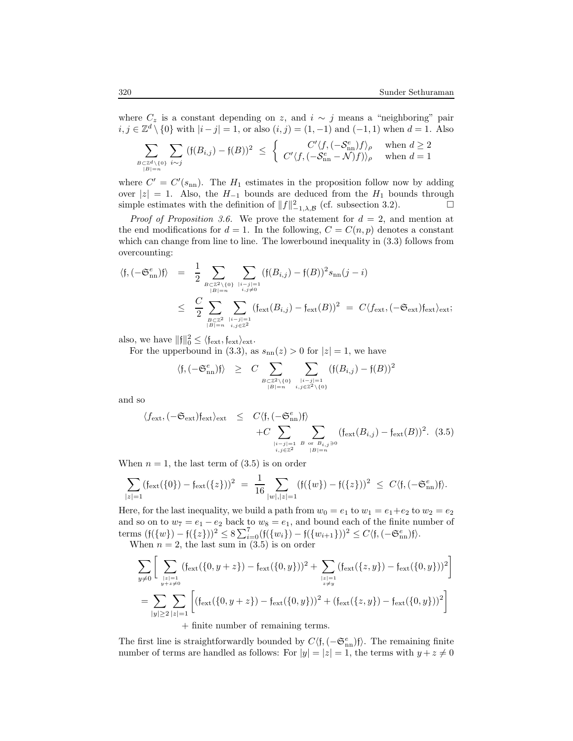where  $C_z$  is a constant depending on z, and  $i \sim j$  means a "neighboring" pair  $i, j \in \mathbb{Z}^d \setminus \{0\}$  with  $|i - j| = 1$ , or also  $(i, j) = (1, -1)$  and  $(-1, 1)$  when  $d = 1$ . Also

$$
\sum_{B \subset \mathbb{Z}^d \setminus \{0\} \atop |B| = n} \sum_{i \sim j} (\mathfrak{f}(B_{i,j}) - \mathfrak{f}(B))^2 \le \left\{ \begin{array}{c} C' \langle f, (-\mathcal{S}_{\rm nn}^e) f \rangle_\rho \quad \text{when } d \ge 2 \\ C' \langle f, (-\mathcal{S}_{\rm nn}^e - \mathcal{N}) f \rangle \rangle_\rho \quad \text{when } d = 1 \end{array} \right.
$$

where  $C' = C'(s_{nn})$ . The  $H_1$  estimates in the proposition follow now by adding over  $|z| = 1$ . Also, the  $H_{-1}$  bounds are deduced from the  $H_1$  bounds through simple estimates with the definition of  $||f||^2_{-1}$ ,  $_R$  (cf. subsection 3.2). □ simple estimates with the definition of  $||f||^2_{-1,\lambda,\mathcal{B}}$  (cf. subsection 3.2).

*Proof of Proposition 3.6.* We prove the statement for  $d = 2$ , and mention at the end modifications for  $d = 1$ . In the following,  $C = C(n, p)$  denotes a constant which can change from line to line. The lowerbound inequality in (3.3) follows from overcounting:

$$
\langle \mathfrak{f}, (-\mathfrak{S}_{\mathrm{nn}}^e) \mathfrak{f} \rangle = \frac{1}{2} \sum_{B \subset \mathbb{Z}^2 \setminus \{0\} \atop |B|=n} \sum_{\substack{i,j=1 \ i,j \neq 0}}^{\infty} (\mathfrak{f}(B_{i,j}) - \mathfrak{f}(B))^2 s_{\mathrm{nn}}(j-i)
$$
  

$$
\leq \frac{C}{2} \sum_{B \subset \mathbb{Z}^2 \atop |B|=n} \sum_{\substack{i,j=1 \ i,j \in \mathbb{Z}^2}}^{\infty} (\mathfrak{f}_{\mathrm{ext}}(B_{i,j}) - \mathfrak{f}_{\mathrm{ext}}(B))^2 = C \langle f_{\mathrm{ext}}, (-\mathfrak{S}_{\mathrm{ext}}) \mathfrak{f}_{\mathrm{ext}} \rangle_{\mathrm{ext}};
$$

also, we have  $||f||_0^2 \le \langle f_{ext}, f_{ext}\rangle_{ext}$ .

For the upperbound in (3.3), as  $s_{nn}(z) > 0$  for  $|z| = 1$ , we have

$$
\langle \mathfrak{f}, (-\mathfrak{S}_{\mathrm{nn}}^e) \mathfrak{f} \rangle \geq C \sum_{B \subset \mathbb{Z}^2 \setminus \{0\} \atop |B| = n} \sum_{\substack{|i - j| = 1 \\ i, j \in \mathbb{Z}^2 \setminus \{0\}}} (\mathfrak{f}(B_{i,j}) - \mathfrak{f}(B))^2
$$

and so

$$
\langle f_{\text{ext}}, (-\mathfrak{S}_{\text{ext}}) f_{\text{ext}} \rangle_{\text{ext}} \leq C \langle f, (-\mathfrak{S}_{\text{nn}}^e) f \rangle + C \sum_{\substack{|i-j|=1 \ b \text{ or } B_{i,j} \supseteq 0 \\ i,j \in \mathbb{Z}^2}} \sum_{\substack{|B|=n}} (f_{\text{ext}}(B_{i,j}) - f_{\text{ext}}(B))^2.
$$
 (3.5)

When  $n = 1$ , the last term of  $(3.5)$  is on order

$$
\sum_{|z|=1} (\mathfrak{f}_{\text{ext}}(\{0\}) - \mathfrak{f}_{\text{ext}}(\{z\}))^2 = \frac{1}{16} \sum_{|w|,|z|=1} (\mathfrak{f}(\{w\}) - \mathfrak{f}(\{z\}))^2 \leq C \langle \mathfrak{f}, (-\mathfrak{S}_{nn}^e) \mathfrak{f} \rangle.
$$

Here, for the last inequality, we build a path from  $w_0 = e_1$  to  $w_1 = e_1 + e_2$  to  $w_2 = e_2$ and so on to  $w_7 = e_1 - e_2$  back to  $w_8 = e_1$ , and bound each of the finite number of terms  $(f({w}) - f({z}))^2 \leq 8\sum_{i=0}^{7} (f({w_i}) - f({w_{i+1}}))^2 \leq C\langle f, (-\mathfrak{S}_{nn}^e)f \rangle.$ When  $n = 2$ , the last sum in  $(3.5)$  is on order

$$
\sum_{y\neq 0} \left[ \sum_{\substack{|z|=1 \ y+z\neq 0}} (f_{\text{ext}}(\{0,y+z\}) - f_{\text{ext}}(\{0,y\}))^2 + \sum_{\substack{|z|=1 \ z\neq y}} (f_{\text{ext}}(\{z,y\}) - f_{\text{ext}}(\{0,y\}))^2 \right]
$$
  
= 
$$
\sum_{|y|\geq 2} \sum_{|z|=1} \left[ (f_{\text{ext}}(\{0,y+z\}) - f_{\text{ext}}(\{0,y\}))^2 + (f_{\text{ext}}(\{z,y\}) - f_{\text{ext}}(\{0,y\}))^2 \right]
$$
  
+ finite number of remaining terms.

The first line is straightforwardly bounded by  $C\langle \mathfrak{f},(-\mathfrak{S}_{\rm{nn}}^e)\mathfrak{f}\rangle$ . The remaining finite number of terms are handled as follows: For  $|y| = |z| = 1$ , the terms with  $y + z \neq 0$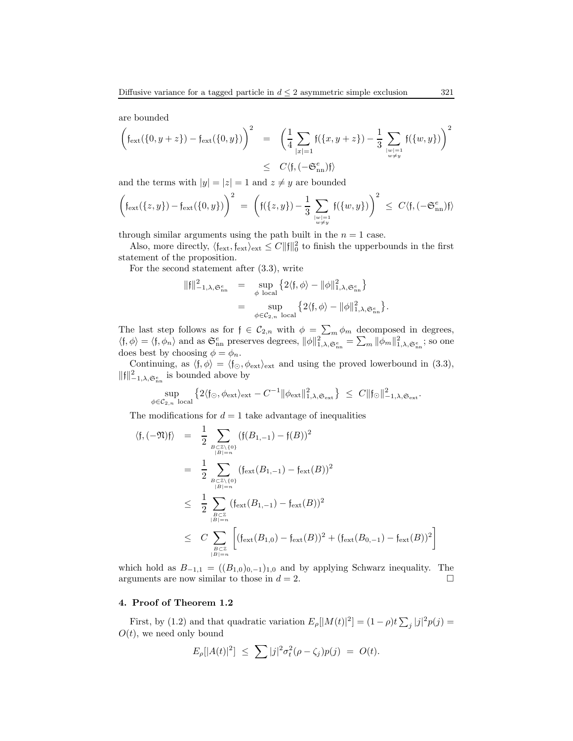are bounded

$$
\left(\mathfrak{f}_{\text{ext}}(\{0, y+z\}) - \mathfrak{f}_{\text{ext}}(\{0, y\})\right)^2 = \left(\frac{1}{4} \sum_{|x|=1} \mathfrak{f}(\{x, y+z\}) - \frac{1}{3} \sum_{|w|=1 \atop w \neq y} \mathfrak{f}(\{w, y\})\right)^2
$$
  

$$
\leq C\langle \mathfrak{f}, (-\mathfrak{S}_{\text{nn}}^e) \mathfrak{f} \rangle
$$

and the terms with  $|y| = |z| = 1$  and  $z \neq y$  are bounded

$$
\left(\mathfrak{f}_{\rm ext}(\{z,y\})-\mathfrak{f}_{\rm ext}(\{0,y\})\right)^2\;=\;\left(\mathfrak{f}(\{z,y\})-\frac{1}{3}\sum_{\genfrac{}{}{0pt}{}{w\mid=1}{w\neq y}}\mathfrak{f}(\{w,y\})\right)^2\;\leq\;C\langle\mathfrak{f},(-\mathfrak{S}_{\rm nn}^e)\mathfrak{f}\rangle
$$

through similar arguments using the path built in the  $n = 1$  case.

Also, more directly,  $\langle \mathfrak{f}_{\text{ext}}, \mathfrak{f}_{\text{ext}} \rangle_{\text{ext}} \leq C ||\mathfrak{f}||_0^2$  to finish the upperbounds in the first statement of the proposition.

For the second statement after (3.3), write

$$
\begin{array}{rcl} \| \mathfrak{f} \|^2_{-1,\lambda,\mathfrak{S}_{nn}^{\varepsilon}} & = & \sup_{\phi \text{ local}} \left\{ 2 \langle \mathfrak{f}, \phi \rangle - \| \phi \|^2_{1,\lambda,\mathfrak{S}_{nn}^{\varepsilon}} \right\} \\ & = & \sup_{\phi \in \mathcal{C}_{2,n} \text{ local}} \left\{ 2 \langle \mathfrak{f}, \phi \rangle - \| \phi \|^2_{1,\lambda,\mathfrak{S}_{nn}^{\varepsilon}} \right\}. \end{array}
$$

The last step follows as for  $f \in C_{2,n}$  with  $\phi = \sum_m \phi_m$  decomposed in degrees,  $\langle \mathfrak{f}, \phi \rangle = \langle \mathfrak{f}, \phi_n \rangle$  and as  $\mathfrak{S}_{nn}^e$  preserves degrees,  $\|\phi\|_{1,\lambda,\mathfrak{S}_{nn}^e}^{2} = \sum_m \|\phi_m\|_{1,\lambda,\mathfrak{S}_{nn}^e}^2$ ; so one does best by choosing  $\phi = \phi_n$ .

Continuing, as  $\langle \mathfrak{f}, \phi \rangle = \langle \mathfrak{f}_{\odot}, \phi_{\text{ext}} \rangle_{\text{ext}}$  and using the proved lowerbound in (3.3),  $\|\mathfrak{f}\|_{-1,\lambda,\mathfrak{S}_{\rm nn}^e}^2$  is bounded above by

$$
\sup_{\phi \in C_{2,n}} \left\{ 2 \langle \mathfrak{f}_{\odot}, \phi_{\mathrm{ext}} \rangle_{\mathrm{ext}} - C^{-1} \|\phi_{\mathrm{ext}}\|_{1,\lambda,\mathfrak{S}_{\mathrm{ext}}}^2 \right\} \leq C \|\mathfrak{f}_{\odot}\|_{-1,\lambda,\mathfrak{S}_{\mathrm{ext}}}^2.
$$

The modifications for  $d = 1$  take advantage of inequalities

$$
\langle f, (-\mathfrak{N})f \rangle = \frac{1}{2} \sum_{B \subset \mathbb{Z} \setminus \{0\} \atop |B| = n} (f(B_{1,-1}) - f(B))^2
$$
  
\n
$$
= \frac{1}{2} \sum_{B \subset \mathbb{Z} \setminus \{0\} \atop |B| = n} (f_{ext}(B_{1,-1}) - f_{ext}(B))^2
$$
  
\n
$$
\leq \frac{1}{2} \sum_{B \subset \mathbb{Z} \atop |B| = n} (f_{ext}(B_{1,-1}) - f_{ext}(B))^2
$$
  
\n
$$
\leq C \sum_{B \subset \mathbb{Z} \atop |B| = n} \left[ (f_{ext}(B_{1,0}) - f_{ext}(B))^2 + (f_{ext}(B_{0,-1}) - f_{ext}(B))^2 \right]
$$

which hold as  $B_{-1,1} = ((B_{1,0})_{0,-1})_{1,0}$  and by applying Schwarz inequality. The arguments are now similar to those in  $d = 2$ .

#### 4. Proof of Theorem 1.2

First, by (1.2) and that quadratic variation  $E_{\rho}[[M(t)]^2] = (1 - \rho)t \sum_j |j|^2 p(j) =$  $O(t)$ , we need only bound

$$
E_{\rho}[|A(t)|^{2}] \leq \sum |j|^{2} \sigma_{t}^{2}(\rho - \zeta_{j}) p(j) = O(t).
$$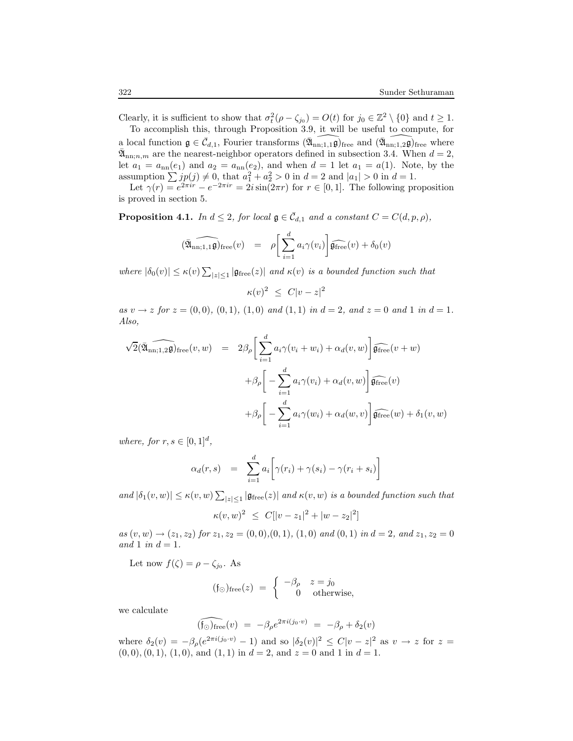Clearly, it is sufficient to show that  $\sigma_t^2(\rho - \zeta_{j_0}) = O(t)$  for  $j_0 \in \mathbb{Z}^2 \setminus \{0\}$  and  $t \geq 1$ . To accomplish this, through Proposition 3.9, it will be useful to compute, for

a local function  $\mathfrak{g} \in \overline{\mathcal{C}}_{d,1}$ , Fourier transforms  $(\widehat{\mathfrak{A}}_{nn;1,1}\widehat{\mathfrak{g}})$ free and  $(\widehat{\mathfrak{A}}_{nn;1,2}\widehat{\mathfrak{g}})$ free where  $\bar{\mathfrak{A}}_{nn;n,m}$  are the nearest-neighbor operators defined in subsection 3.4. When  $d=2$ , let  $a_1 = a_{nn}(e_1)$  and  $a_2 = a_{nn}(e_2)$ , and when  $d = 1$  let  $a_1 = a(1)$ . Note, by the assumption  $\sum j p(j) \neq 0$ , that  $a_1^2 + a_2^2 > 0$  in  $d = 2$  and  $|a_1| > 0$  in  $d = 1$ .

Let  $\gamma(r) = e^{2\pi ir} - e^{-2\pi ir} = 2i\sin(2\pi r)$  for  $r \in [0, 1]$ . The following proposition is proved in section 5.

**Proposition 4.1.** In  $d \leq 2$ , for local  $\mathfrak{g} \in \overline{\mathcal{C}}_{d,1}$  and a constant  $C = C(d, p, \rho)$ ,

$$
(\widehat{\mathfrak{A}}_{nn;1,1}\widehat{\mathfrak{g}})_{\text{free}}(v) = \rho \bigg[\sum_{i=1}^d a_i \gamma(v_i)\bigg] \widehat{\mathfrak{g}_{\text{free}}}(v) + \delta_0(v)
$$

where  $|\delta_0(v)| \leq \kappa(v) \sum_{|z| \leq 1} |\mathfrak{g}_{\text{free}}(z)|$  and  $\kappa(v)$  is a bounded function such that

 $\kappa(v)^2 \leq C|v-z|^2$ 

as  $v \to z$  for  $z = (0,0), (0,1), (1,0)$  and  $(1,1)$  in  $d = 2$ , and  $z = 0$  and 1 in  $d = 1$ . Also,

$$
\sqrt{2}(\widehat{\mathfrak{A}}_{nn;1,2}\widehat{\mathfrak{g}})_{\text{free}}(v,w) = 2\beta_{\rho} \left[ \sum_{i=1}^{d} a_{i}\gamma(v_{i}+w_{i}) + \alpha_{d}(v,w) \right] \widehat{\mathfrak{g}_{\text{free}}}(v+w)
$$

$$
+ \beta_{\rho} \left[ -\sum_{i=1}^{d} a_{i}\gamma(v_{i}) + \alpha_{d}(v,w) \right] \widehat{\mathfrak{g}_{\text{free}}}(v)
$$

$$
+ \beta_{\rho} \left[ -\sum_{i=1}^{d} a_{i}\gamma(w_{i}) + \alpha_{d}(w,v) \right] \widehat{\mathfrak{g}_{\text{free}}}(w) + \delta_{1}(v,w)
$$

where, for  $r, s \in [0, 1]^d$ ,

$$
\alpha_d(r,s) = \sum_{i=1}^d a_i \bigg[ \gamma(r_i) + \gamma(s_i) - \gamma(r_i + s_i) \bigg]
$$

and  $|\delta_1(v, w)| \le \kappa(v, w) \sum_{|z| \le 1} |\mathfrak{g}_{\text{free}}(z)|$  and  $\kappa(v, w)$  is a bounded function such that

$$
\kappa(v, w)^2 \ \leq \ C[|v - z_1|^2 + |w - z_2|^2]
$$

 $as (v, w) \rightarrow (z_1, z_2)$  for  $z_1, z_2 = (0, 0), (0, 1), (1, 0)$  and  $(0, 1)$  in  $d = 2$ , and  $z_1, z_2 = 0$ and 1 in  $d = 1$ .

Let now  $f(\zeta) = \rho - \zeta_{j_0}$ . As

$$
(\mathfrak{f}_{\odot})_{\text{free}}(z) = \begin{cases} -\beta_{\rho} & z = j_0 \\ 0 & \text{otherwise,} \end{cases}
$$

we calculate

$$
\widehat{(\mathfrak{f}_{\odot})_{\text{free}}}(v) = -\beta_{\rho} e^{2\pi i (j_0 \cdot v)} = -\beta_{\rho} + \delta_2(v)
$$

where  $\delta_2(v) = -\beta_\rho(e^{2\pi i(j_0 \cdot v)} - 1)$  and so  $|\delta_2(v)|^2 \le C|v - z|^2$  as  $v \to z$  for  $z =$  $(0, 0), (0, 1), (1, 0),$  and  $(1, 1)$  in  $d = 2$ , and  $z = 0$  and 1 in  $d = 1$ .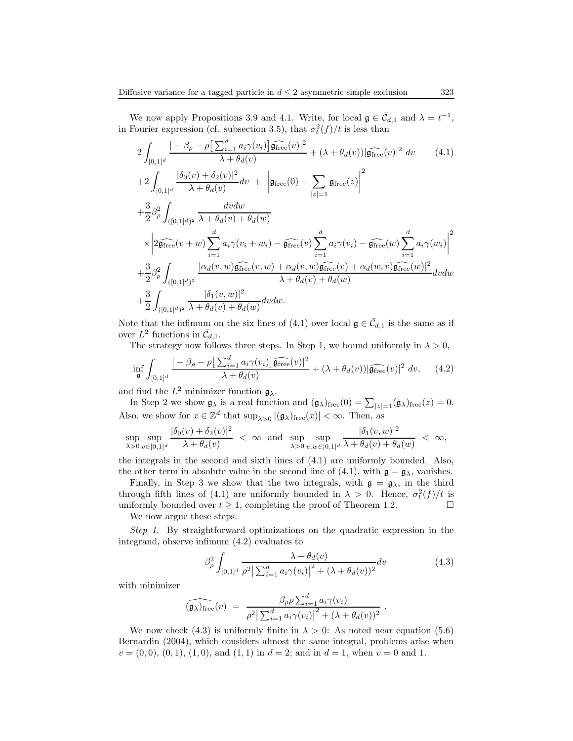We now apply Propositions 3.9 and 4.1. Write, for local  $\mathfrak{g} \in \mathcal{C}_{d,1}$  and  $\lambda = t^{-1}$ , in Fourier expression (cf. subsection 3.5), that  $\sigma_t^2(f)/t$  is less than

$$
2\int_{[0,1]^d} \frac{|-\beta_{\rho} - \rho[\sum_{i=1}^d a_i \gamma(v_i)] \widehat{\mathfrak{g}_{\text{free}}}(v)|^2}{\lambda + \theta_d(v)} + (\lambda + \theta_d(v)) |\widehat{\mathfrak{g}_{\text{free}}}(v)|^2 dv \qquad (4.1)
$$
  
+2
$$
\int_{[0,1]^d} \frac{|\delta_0(v) + \delta_2(v)|^2}{\lambda + \theta_d(v)} dv + \left| \mathfrak{g}_{\text{free}}(0) - \sum_{|z|=1} \mathfrak{g}_{\text{free}}(z) \right|^2
$$
  
+
$$
\frac{3}{2} \beta_{\rho}^2 \int_{([0,1]^d)^2} \frac{dv dw}{\lambda + \theta_d(v) + \theta_d(w)}
$$
  

$$
\times \left| 2\widehat{\mathfrak{g}_{\text{free}}}(v+w) \sum_{i=1}^d a_i \gamma(v_i+w_i) - \widehat{\mathfrak{g}_{\text{free}}}(v) \sum_{i=1}^d a_i \gamma(v_i) - \widehat{\mathfrak{g}_{\text{free}}}(w) \sum_{i=1}^d a_i \gamma(w_i) \right|^2
$$
  
+
$$
\frac{3}{2} \beta_{\rho}^2 \int_{([0,1]^d)^2} \frac{|\alpha_d(v,w) \widehat{\mathfrak{g}_{\text{free}}}(v,w) + \alpha_d(v,w) \widehat{\mathfrak{g}_{\text{free}}}(v) + \alpha_d(w,v) \widehat{\mathfrak{g}_{\text{free}}}(w)|^2}{\lambda + \theta_d(v) + \theta_d(w)}
$$
  
+
$$
\frac{3}{2} \int_{([0,1]^d)^2} \frac{|\delta_1(v,w)|^2}{\lambda + \theta_d(v) + \theta_d(w)} dv dw.
$$
 (4.1)

Note that the infimum on the six lines of (4.1) over local  $\mathfrak{g} \in \bar{\mathcal{C}}_{d,1}$  is the same as if over  $L^2$  functions in  $\bar{\mathcal{C}}_{d,1}$ .

The strategy now follows three steps. In Step 1, we bound uniformly in  $\lambda > 0$ ,

$$
\inf_{\mathfrak{g}} \int_{[0,1]^d} \frac{|-\beta_\rho - \rho \big[\sum_{i=1}^d a_i \gamma(v_i)\big] \widehat{\mathfrak{g}_{\text{free}}}(v)|^2}{\lambda + \theta_d(v)} + (\lambda + \theta_d(v)) |\widehat{\mathfrak{g}_{\text{free}}}(v)|^2 dv, \quad (4.2)
$$

and find the  $L^2$  minimizer function  $\mathfrak{g}_{\lambda}$ .

In Step 2 we show  $\mathfrak{g}_{\lambda}$  is a real function and  $(\mathfrak{g}_{\lambda})_{\text{free}}(0) = \sum_{|z|=1}(\mathfrak{g}_{\lambda})_{\text{free}}(z) = 0.$ Also, we show for  $x \in \mathbb{Z}^d$  that  $\sup_{\lambda>0} |(\mathfrak{g}_{\lambda})_{\text{free}}(x)| < \infty$ . Then, as

$$
\sup_{\lambda>0}\sup_{v\in[0,1]^d}\frac{|\delta_0(v)+\delta_2(v)|^2}{\lambda+\theta_d(v)}\;<\;\infty\;\;\text{and}\;\;\sup_{\lambda>0}\sup_{v,w\in[0,1]^d}\frac{|\delta_1(v,w)|^2}{\lambda+\theta_d(v)+\theta_d(w)}\;<\;\infty,
$$

the integrals in the second and sixth lines of (4.1) are uniformly bounded. Also, the other term in absolute value in the second line of (4.1), with  $\mathfrak{g} = \mathfrak{g}_{\lambda}$ , vanishes.

Finally, in Step 3 we show that the two integrals, with  $g = g_{\lambda}$ , in the third through fifth lines of (4.1) are uniformly bounded in  $\lambda > 0$ . Hence,  $\sigma_t^2(f)/t$  is uniformly bounded over  $t \geq 1$ , completing the proof of Theorem 1.2.

We now argue these steps.

Step 1. By straightforward optimizations on the quadratic expression in the integrand, observe infimum (4.2) evaluates to

$$
\beta_{\rho}^2 \int_{[0,1]^d} \frac{\lambda + \theta_d(v)}{\rho^2 \left| \sum_{i=1}^d a_i \gamma(v_i) \right|^2 + (\lambda + \theta_d(v))^2} dv \tag{4.3}
$$

with minimizer

$$
(\widehat{\mathfrak{g}_{\lambda}})_{\text{free}}(v) = \frac{\beta_{\rho}\rho\sum_{i=1}^{d}a_{i}\gamma(v_{i})}{\rho^{2}|\sum_{i=1}^{d}a_{i}\gamma(v_{i})|^{2}+(\lambda+\theta_{d}(v))^{2}}.
$$

We now check (4.3) is uniformly finite in  $\lambda > 0$ : As noted near equation (5.6) Bernardin (2004), which considers almost the same integral, problems arise when  $v = (0, 0), (0, 1), (1, 0),$  and  $(1, 1)$  in  $d = 2$ ; and in  $d = 1$ , when  $v = 0$  and 1.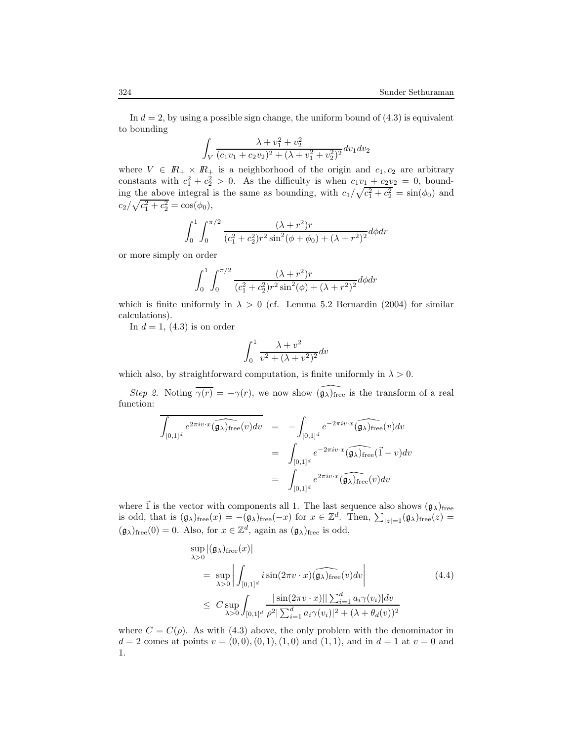In  $d = 2$ , by using a possible sign change, the uniform bound of  $(4.3)$  is equivalent to bounding

$$
\int_{V} \frac{\lambda + v_1^2 + v_2^2}{(c_1v_1 + c_2v_2)^2 + (\lambda + v_1^2 + v_2^2)^2} dv_1 dv_2
$$

where  $V \in I\!\!R_+ \times I\!\!R_+$  is a neighborhood of the origin and  $c_1, c_2$  are arbitrary constants with  $c_1^2 + c_2^2 > 0$ . As the difficulty is when  $c_1v_1 + c_2v_2 = 0$ , bounding the above integral is the same as bounding, with  $c_1/\sqrt{c_1^2+c_2^2} = \sin(\phi_0)$  and  $c_2/\sqrt{c_1^2+c_2^2} = \cos(\phi_0),$ 

$$
\int_0^1 \int_0^{\pi/2} \frac{(\lambda + r^2)r}{(c_1^2 + c_2^2)r^2 \sin^2(\phi + \phi_0) + (\lambda + r^2)^2} d\phi dr
$$

or more simply on order

$$
\int_0^1 \int_0^{\pi/2} \frac{(\lambda + r^2)r}{(c_1^2 + c_2^2)r^2 \sin^2(\phi) + (\lambda + r^2)^2} d\phi dr
$$

which is finite uniformly in  $\lambda > 0$  (cf. Lemma 5.2 Bernardin (2004) for similar calculations).

In  $d = 1$ , (4.3) is on order

$$
\int_0^1 \frac{\lambda + v^2}{v^2 + (\lambda + v^2)^2} dv
$$

which also, by straightforward computation, is finite uniformly in  $\lambda > 0$ .

Step 2. Noting  $\overline{\gamma(r)} = -\gamma(r)$ , we now show  $\widehat{(\mathfrak{g}_{\lambda})}_{\text{free}}$  is the transform of a real function:

$$
\overline{\int_{[0,1]^d} e^{2\pi i v \cdot x} (\widehat{\mathfrak{g}_{\lambda}})_{\text{free}}(v) dv} = - \int_{[0,1]^d} e^{-2\pi i v \cdot x} (\widehat{\mathfrak{g}_{\lambda}})_{\text{free}}(v) dv
$$
  

$$
= \int_{[0,1]^d} e^{-2\pi i v \cdot x} (\widehat{\mathfrak{g}_{\lambda}})_{\text{free}}(\vec{1} - v) dv
$$
  

$$
= \int_{[0,1]^d} e^{2\pi i v \cdot x} (\widehat{\mathfrak{g}_{\lambda}})_{\text{free}}(v) dv
$$

where  $\vec{1}$  is the vector with components all 1. The last sequence also shows  $(\mathfrak{g}_{\lambda})_{\text{free}}$ is odd, that is  $(\mathfrak{g}_{\lambda})_{\text{free}}(x) = -(\mathfrak{g}_{\lambda})_{\text{free}}(-x)$  for  $x \in \mathbb{Z}^d$ . Then,  $\sum_{|z|=1}(\mathfrak{g}_{\lambda})_{\text{free}}(z) =$  $(\mathfrak{g}_{\lambda})_{\text{free}}(0) = 0$ . Also, for  $x \in \mathbb{Z}^d$ , again as  $(\mathfrak{g}_{\lambda})_{\text{free}}$  is odd,

$$
\sup_{\lambda>0} |(\mathfrak{g}_{\lambda})_{\text{free}}(x)|
$$
\n
$$
= \sup_{\lambda>0} \left| \int_{[0,1]^d} i \sin(2\pi v \cdot x) (\widehat{\mathfrak{g}_{\lambda}})_{\text{free}}(v) dv \right|
$$
\n
$$
\leq C \sup_{\lambda>0} \int_{[0,1]^d} \frac{|\sin(2\pi v \cdot x)| |\sum_{i=1}^d a_i \gamma(v_i)| dv}{\rho^2 |\sum_{i=1}^d a_i \gamma(v_i)|^2 + (\lambda + \theta_d(v))^2}
$$
\n(4.4)

where  $C = C(\rho)$ . As with (4.3) above, the only problem with the denominator in  $d = 2$  comes at points  $v = (0, 0), (0, 1), (1, 0)$  and  $(1, 1),$  and in  $d = 1$  at  $v = 0$  and 1.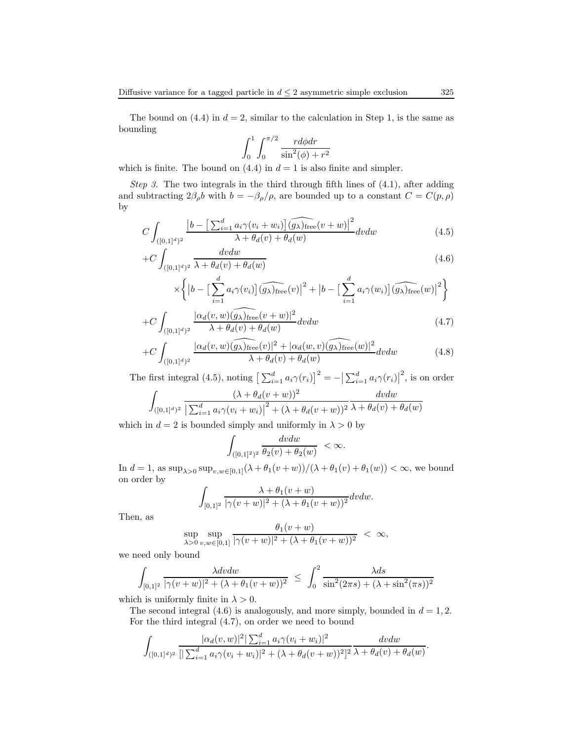The bound on  $(4.4)$  in  $d = 2$ , similar to the calculation in Step 1, is the same as bounding

$$
\int_0^1 \int_0^{\pi/2} \frac{r d\phi dr}{\sin^2(\phi) + r^2}
$$

which is finite. The bound on  $(4.4)$  in  $d = 1$  is also finite and simpler.

Step 3. The two integrals in the third through fifth lines of  $(4.1)$ , after adding and subtracting  $2\beta_{\rho}b$  with  $b = -\beta_{\rho}/\rho$ , are bounded up to a constant  $C = C(p, \rho)$ by

$$
C \int_{([0,1]^d)^2} \frac{\left|b - \left[\sum_{i=1}^d a_i \gamma(v_i + w_i)\right] (\widehat{g_\lambda})_{\text{free}} (v+w)\right|^2}{\lambda + \theta_d(v) + \theta_d(w)} dv dw \tag{4.5}
$$

$$
+C\int_{([0,1]^d)^2} \frac{dv dw}{\lambda + \theta_d(v) + \theta_d(w)}\tag{4.6}
$$

$$
\times \left\{ \left| b - \left[ \sum_{i=1}^d a_i \gamma(v_i) \right] \widehat{(g_\lambda)_{\text{free}}}(v) \right|^2 + \left| b - \left[ \sum_{i=1}^d a_i \gamma(w_i) \right] \widehat{(g_\lambda)_{\text{free}}}(w) \right|^2 \right\}
$$

$$
+C\int_{([0,1]^d)^2} \frac{|\alpha_d(v,w)(\widehat{g_\lambda})_{\text{free}}(v+w)|^2}{\lambda + \theta_d(v) + \theta_d(w)} dv dw \tag{4.7}
$$

$$
+C\int_{([0,1]^d)^2} \frac{|\alpha_d(v,w)(\widehat{g_\lambda})_{\text{free}}(v)|^2 + |\alpha_d(w,v)(\widehat{g_\lambda})_{\text{free}}(w)|^2}{\lambda + \theta_d(v) + \theta_d(w)} dv dw \tag{4.8}
$$

The first integral (4.5), noting  $\left[\sum_{i=1}^d a_i \gamma(r_i)\right]^2 = -\left|\sum_{i=1}^d a_i \gamma(r_i)\right|^2$ , is on order  $\Gamma$  $(\lambda + \theta_i(y + w))^2$ dvdw

$$
\int_{([0,1]^d)^2} \frac{(\lambda + \theta_d(v + w))}{\left|\sum_{i=1}^d a_i \gamma(v_i + w_i)\right|^2 + (\lambda + \theta_d(v + w))^2} \frac{w du}{\lambda + \theta_d(v) + \theta_d(w)}
$$

which in  $d = 2$  is bounded simply and uniformly in  $\lambda > 0$  by

$$
\int_{([0,1]^2)^2}\frac{dv dw}{\theta_2(v)+\theta_2(w)}\ <\infty.
$$

In  $d = 1$ , as  $\sup_{\lambda > 0} \sup_{v, w \in [0,1]} (\lambda + \theta_1(v+w)) / (\lambda + \theta_1(v) + \theta_1(w)) < \infty$ , we bound on order by

$$
\int_{[0,1]^2} \frac{\lambda + \theta_1(v+w)}{|\gamma(v+w)|^2 + (\lambda + \theta_1(v+w))^2} dv dw.
$$

Then, as

$$
\sup_{\lambda>0} \sup_{v,w\in[0,1]} \frac{\theta_1(v+w)}{|\gamma(v+w)|^2 + (\lambda + \theta_1(v+w))^2} < \infty,
$$

we need only bound

$$
\int_{[0,1]^2} \frac{\lambda dv dw}{|\gamma(v+w)|^2 + (\lambda + \theta_1(v+w))^2} \leq \int_0^2 \frac{\lambda ds}{\sin^2(2\pi s) + (\lambda + \sin^2(\pi s))^2}
$$

which is uniformly finite in  $\lambda > 0$ .

The second integral (4.6) is analogously, and more simply, bounded in  $d = 1, 2$ . For the third integral (4.7), on order we need to bound

$$
\int_{([0,1]^d)^2} \frac{|\alpha_d(v,w)|^2 |\sum_{i=1}^d a_i \gamma(v_i+w_i)|^2}{\left[ |\sum_{i=1}^d a_i \gamma(v_i+w_i)|^2 + (\lambda + \theta_d(v+w))^2 \right]^2} \frac{dv dw}{\lambda + \theta_d(v) + \theta_d(w)}.
$$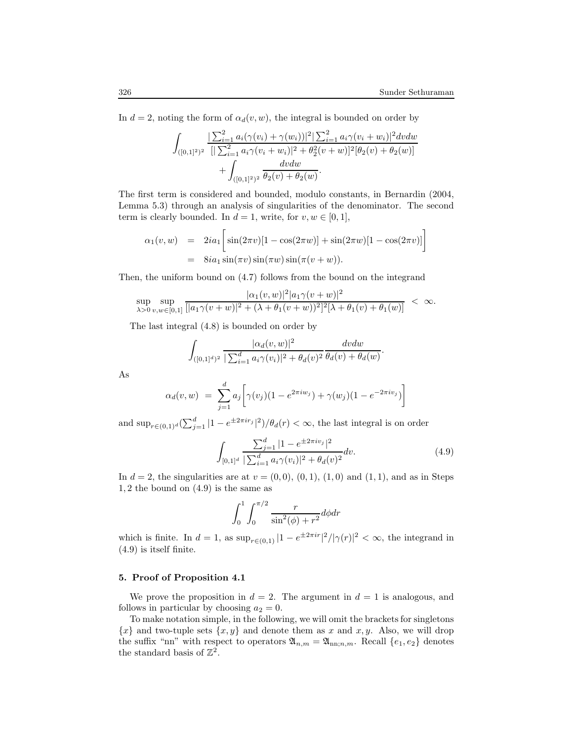In  $d = 2$ , noting the form of  $\alpha_d(v, w)$ , the integral is bounded on order by

$$
\int_{([0,1]^2)^2} \frac{\left|\sum_{i=1}^2 a_i(\gamma(v_i) + \gamma(w_i))\right|^2\left|\sum_{i=1}^2 a_i \gamma(v_i + w_i)\right|^2 dvdw}{\left|\sum_{i=1}^2 a_i \gamma(v_i + w_i)\right|^2 + \theta_2^2(v + w)\right|^2[\theta_2(v) + \theta_2(w)]} + \int_{([0,1]^2)^2} \frac{dv dw}{\theta_2(v) + \theta_2(w)}.
$$

The first term is considered and bounded, modulo constants, in Bernardin (2004, Lemma 5.3) through an analysis of singularities of the denominator. The second term is clearly bounded. In  $d = 1$ , write, for  $v, w \in [0, 1]$ ,

$$
\alpha_1(v, w) = 2ia_1 \left[ \sin(2\pi v)[1 - \cos(2\pi w)] + \sin(2\pi w)[1 - \cos(2\pi v)] \right]
$$
  
=  $8ia_1 \sin(\pi v) \sin(\pi w) \sin(\pi (v + w)).$ 

Then, the uniform bound on (4.7) follows from the bound on the integrand

$$
\sup_{\lambda>0} \sup_{v,w\in[0,1]} \frac{|\alpha_1(v,w)|^2 |a_1\gamma(v+w)|^2}{[|a_1\gamma(v+w)|^2 + (\lambda + \theta_1(v+w))^2]^2 [\lambda + \theta_1(v) + \theta_1(w)]} < \infty.
$$

The last integral (4.8) is bounded on order by

$$
\int_{([0,1]^d)^2} \frac{|\alpha_d(v,w)|^2}{|\sum_{i=1}^d a_i \gamma(v_i)|^2 + \theta_d(v)^2} \frac{dv dw}{\theta_d(v) + \theta_d(w)}.
$$

As

$$
\alpha_d(v, w) = \sum_{j=1}^d a_j \bigg[ \gamma(v_j) (1 - e^{2\pi i w_j}) + \gamma(w_j) (1 - e^{-2\pi i v_j}) \bigg]
$$

and  $\sup_{r \in (0,1)^d} (\sum_{j=1}^d |1 - e^{\pm 2\pi i r_j}|^2) / \theta_d(r) < \infty$ , the last integral is on order

$$
\int_{[0,1]^d} \frac{\sum_{j=1}^d |1 - e^{\pm 2\pi i v_j}|^2}{|\sum_{i=1}^d a_i \gamma(v_i)|^2 + \theta_d(v)^2} dv.
$$
\n(4.9)

In  $d = 2$ , the singularities are at  $v = (0, 0), (0, 1), (1, 0)$  and  $(1, 1)$ , and as in Steps 1, 2 the bound on (4.9) is the same as

$$
\int_0^1 \int_0^{\pi/2} \frac{r}{\sin^2(\phi) + r^2} d\phi dr
$$

which is finite. In  $d = 1$ , as  $\sup_{r \in (0,1)} |1 - e^{\pm 2\pi i r}|^2 / |\gamma(r)|^2 < \infty$ , the integrand in (4.9) is itself finite.

#### 5. Proof of Proposition 4.1

We prove the proposition in  $d = 2$ . The argument in  $d = 1$  is analogous, and follows in particular by choosing  $a_2 = 0$ .

To make notation simple, in the following, we will omit the brackets for singletons  ${x}$  and two-tuple sets  ${x, y}$  and denote them as x and x, y. Also, we will drop the suffix "nn" with respect to operators  $\mathfrak{A}_{n,m} = \mathfrak{A}_{nn;n,m}$ . Recall  $\{e_1, e_2\}$  denotes the standard basis of  $\mathbb{Z}^2$ .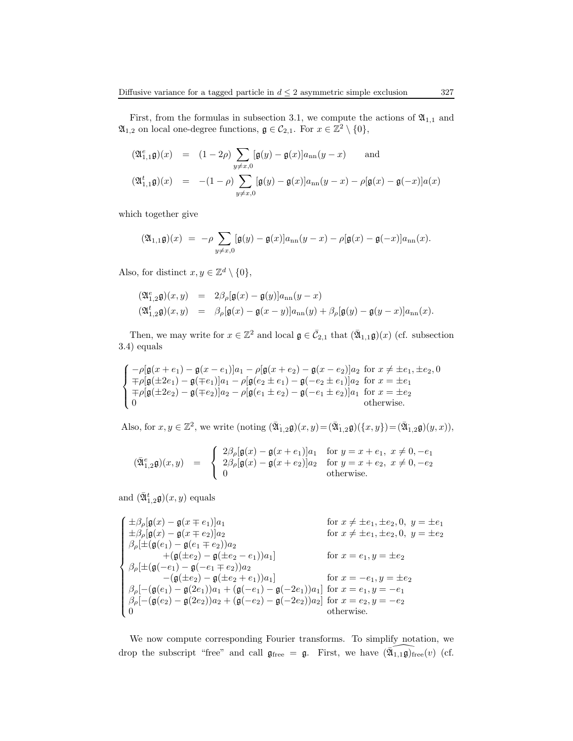First, from the formulas in subsection 3.1, we compute the actions of  $\mathfrak{A}_{1,1}$  and  $\mathfrak{A}_{1,2}$  on local one-degree functions,  $\mathfrak{g} \in \mathcal{C}_{2,1}$ . For  $x \in \mathbb{Z}^2 \setminus \{0\},$ 

$$
\begin{array}{rcl}\n(\mathfrak{A}_{1,1}^e\mathfrak{g})(x) & = & (1-2\rho) \sum_{y\neq x,0} [\mathfrak{g}(y)-\mathfrak{g}(x)]a_{\rm nn}(y-x) \qquad \text{and} \\
(\mathfrak{A}_{1,1}^t\mathfrak{g})(x) & = & - (1-\rho) \sum_{y\neq x,0} [\mathfrak{g}(y)-\mathfrak{g}(x)]a_{\rm nn}(y-x) - \rho[\mathfrak{g}(x)-\mathfrak{g}(-x)]a(x)\n\end{array}
$$

which together give

$$
(\mathfrak{A}_{1,1}\mathfrak{g})(x) ~=~ -\rho\sum_{y\neq x,0}[\mathfrak{g}(y)-\mathfrak{g}(x)]a_{\rm nn}(y-x)-\rho[\mathfrak{g}(x)-\mathfrak{g}(-x)]a_{\rm nn}(x).
$$

Also, for distinct  $x, y \in \mathbb{Z}^d \setminus \{0\},\$ 

$$
\begin{array}{rcl} \big( \mathfrak A^e_{1,2}\mathfrak g \big)(x,y) &=& 2\beta_\rho [\mathfrak g(x)-\mathfrak g(y)] a_{\rm nn}(y-x)\\[2mm] \big( \mathfrak A^t_{1,2}\mathfrak g \big)(x,y) &=& \beta_\rho [\mathfrak g(x)-\mathfrak g(x-y)] a_{\rm nn}(y) + \beta_\rho [\mathfrak g(y)-\mathfrak g(y-x)] a_{\rm nn}(x). \end{array}
$$

Then, we may write for  $x \in \mathbb{Z}^2$  and local  $\mathfrak{g} \in \bar{C}_{2,1}$  that  $(\bar{\mathfrak{A}}_{1,1}\mathfrak{g})(x)$  (cf. subsection 3.4) equals

$$
\begin{cases}\n-\rho[\mathfrak{g}(x+e_1)-\mathfrak{g}(x-e_1)]a_1-\rho[\mathfrak{g}(x+e_2)-\mathfrak{g}(x-e_2)]a_2 & \text{for } x\neq \pm e_1, \pm e_2, 0 \\
\mp \rho[\mathfrak{g}(\pm 2e_1)-\mathfrak{g}(\mp e_1)]a_1-\rho[\mathfrak{g}(e_2\pm e_1)-\mathfrak{g}(-e_2\pm e_1)]a_2 & \text{for } x=\pm e_1 \\
\mp \rho[\mathfrak{g}(\pm 2e_2)-\mathfrak{g}(\mp e_2)]a_2-\rho[\mathfrak{g}(e_1\pm e_2)-\mathfrak{g}(-e_1\pm e_2)]a_1 & \text{for } x=\pm e_2 \\
0 & \text{otherwise.}\n\end{cases}
$$

Also, for  $x, y \in \mathbb{Z}^2$ , we write (noting  $(\overline{\mathfrak{A}}_{1,2}\mathfrak{g})(x,y) = (\overline{\mathfrak{A}}_{1,2}\mathfrak{g})(\{x,y\}) = (\overline{\mathfrak{A}}_{1,2}\mathfrak{g})(y,x)),$ 

$$
(\bar{\mathfrak{A}}_{1,2}^{e}\mathfrak{g})(x,y) \quad = \quad \left\{ \begin{array}{ll} 2\beta_{\rho}[\mathfrak{g}(x)-\mathfrak{g}(x+e_1)]a_1 & \text{for } y=x+e_1, \ x\neq 0, -e_1 \\ 2\beta_{\rho}[\mathfrak{g}(x)-\mathfrak{g}(x+e_2)]a_2 & \text{for } y=x+e_2, \ x\neq 0, -e_2 \\ 0 & \text{otherwise.} \end{array} \right.
$$

and  $(\bar{\mathfrak{A}}_{1,2}^t \mathfrak{g})(x,y)$  equals

$$
\begin{cases}\n\pm \beta_{\rho}[\mathfrak{g}(x) - \mathfrak{g}(x \mp e_1)]a_1 & \text{for } x \neq \pm e_1, \pm e_2, 0, y = \pm e_1 \\
\pm \beta_{\rho}[\mathfrak{g}(x) - \mathfrak{g}(x \mp e_2)]a_2 & \text{for } x \neq \pm e_1, \pm e_2, 0, y = \pm e_2 \\
\beta_{\rho}[\pm(\mathfrak{g}(e_1) - \mathfrak{g}(e_1 \mp e_2))a_2 &\quad \ \ +(\mathfrak{g}(\pm e_2) - \mathfrak{g}(\pm e_2 - e_1))a_1] & \text{for } x = e_1, y = \pm e_2 \\
\beta_{\rho}[\pm(\mathfrak{g}(-e_1) - \mathfrak{g}(-e_1 \mp e_2))a_2 &\quad \ -(\mathfrak{g}(\pm e_2) - \mathfrak{g}(\pm e_2 + e_1))a_1] & \text{for } x = -e_1, y = \pm e_2 \\
\beta_{\rho}[-(\mathfrak{g}(e_1) - \mathfrak{g}(2e_1))a_1 + (\mathfrak{g}(-e_1) - \mathfrak{g}(-2e_1))a_1] & \text{for } x = e_1, y = -e_1 \\
\beta_{\rho}[-(\mathfrak{g}(e_2) - \mathfrak{g}(2e_2))a_2 + (\mathfrak{g}(-e_2) - \mathfrak{g}(-2e_2))a_2] & \text{for } x = e_2, y = -e_2 \\
0 & \text{otherwise.} \n\end{cases}
$$

We now compute corresponding Fourier transforms. To simplify notation, we drop the subscript "free" and call  $\mathfrak{g}_{\text{free}} = \mathfrak{g}$ . First, we have  $(\overline{\mathfrak{A}_{1,1}\mathfrak{g}})_{\text{free}}(v)$  (cf.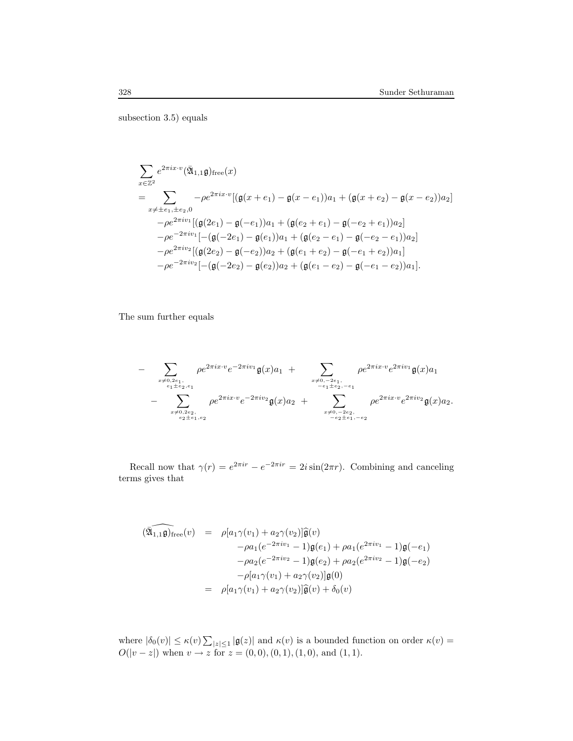subsection 3.5) equals

$$
\sum_{x \in \mathbb{Z}^2} e^{2\pi i x \cdot v} (\bar{\mathfrak{A}}_{1,1} \mathfrak{g})_{\text{free}}(x)
$$
\n
$$
= \sum_{x \neq \pm e_1, \pm e_2, 0} -\rho e^{2\pi i x \cdot v} [(\mathfrak{g}(x + e_1) - \mathfrak{g}(x - e_1))a_1 + (\mathfrak{g}(x + e_2) - \mathfrak{g}(x - e_2))a_2]
$$
\n
$$
-\rho e^{2\pi i v_1} [(\mathfrak{g}(2e_1) - \mathfrak{g}(-e_1))a_1 + (\mathfrak{g}(e_2 + e_1) - \mathfrak{g}(-e_2 + e_1))a_2]
$$
\n
$$
-\rho e^{-2\pi i v_1} [-(\mathfrak{g}(-2e_1) - \mathfrak{g}(e_1))a_1 + (\mathfrak{g}(e_2 - e_1) - \mathfrak{g}(-e_2 - e_1))a_2]
$$
\n
$$
-\rho e^{2\pi i v_2} [(\mathfrak{g}(2e_2) - \mathfrak{g}(-e_2))a_2 + (\mathfrak{g}(e_1 + e_2) - \mathfrak{g}(-e_1 + e_2))a_1]
$$
\n
$$
-\rho e^{-2\pi i v_2} [-(\mathfrak{g}(-2e_2) - \mathfrak{g}(e_2))a_2 + (\mathfrak{g}(e_1 - e_2) - \mathfrak{g}(-e_1 - e_2))a_1].
$$

The sum further equals

$$
- \sum_{\substack{x \neq 0, 2e_1, \\ e_1 \pm e_2, e_1}} \rho e^{2\pi i x \cdot v} e^{-2\pi i v_1} \mathfrak{g}(x) a_1 + \sum_{\substack{x \neq 0, -2e_1, \\ -e_1 \pm e_2, -e_1}} \rho e^{2\pi i x \cdot v} e^{2\pi i v_1} \mathfrak{g}(x) a_1 - \sum_{\substack{x \neq 0, 2e_2, \\ e_2 \pm e_1, e_2}} \rho e^{2\pi i x \cdot v} e^{-2\pi i v_2} \mathfrak{g}(x) a_2 + \sum_{\substack{x \neq 0, -2e_2, \\ -e_2 \pm e_1, -e_2}} \rho e^{2\pi i x \cdot v} e^{2\pi i v_2} \mathfrak{g}(x) a_2.
$$

Recall now that  $\gamma(r) = e^{2\pi ir} - e^{-2\pi ir} = 2i \sin(2\pi r)$ . Combining and canceling terms gives that

$$
(\widehat{\mathfrak{A}_{1,1}\mathfrak{g}})_{\text{free}}(v) = \rho[a_1\gamma(v_1) + a_2\gamma(v_2)]\widehat{\mathfrak{g}}(v)
$$
  
\n
$$
-\rho a_1(e^{-2\pi iv_1} - 1)\mathfrak{g}(e_1) + \rho a_1(e^{2\pi iv_1} - 1)\mathfrak{g}(-e_1)
$$
  
\n
$$
-\rho a_2(e^{-2\pi iv_2} - 1)\mathfrak{g}(e_2) + \rho a_2(e^{2\pi iv_2} - 1)\mathfrak{g}(-e_2)
$$
  
\n
$$
-\rho[a_1\gamma(v_1) + a_2\gamma(v_2)]\widehat{\mathfrak{g}}(0)
$$
  
\n
$$
= \rho[a_1\gamma(v_1) + a_2\gamma(v_2)]\widehat{\mathfrak{g}}(v) + \delta_0(v)
$$

where  $|\delta_0(v)| \leq \kappa(v) \sum_{|z| \leq 1} |\mathfrak{g}(z)|$  and  $\kappa(v)$  is a bounded function on order  $\kappa(v)$  =  $O(|v-z|)$  when  $v \to z$  for  $z = (0,0), (0,1), (1,0)$ , and  $(1,1)$ .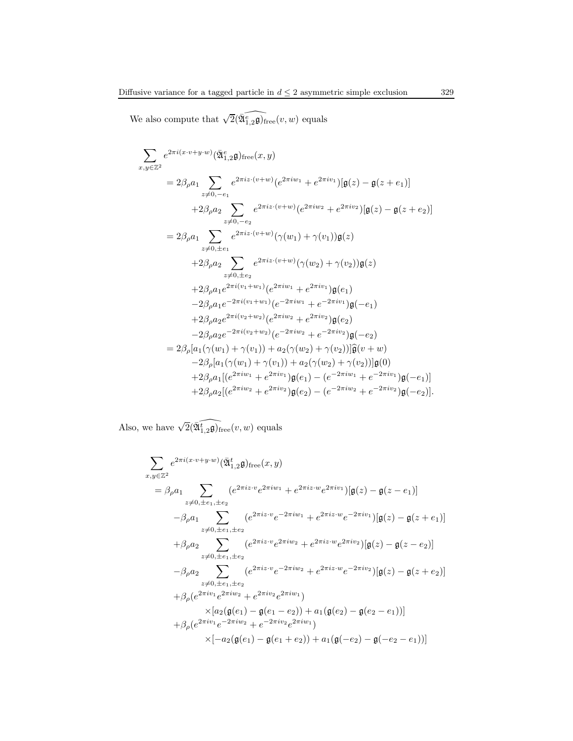We also compute that  $\sqrt{2}(\widehat{\mathfrak{A}^e_{1,2}\mathfrak{g}})_{\text{free}}(v, w)$  equals

$$
\sum_{x,y\in\mathbb{Z}^2} e^{2\pi i (x\cdot v + y\cdot w)} (\tilde{\mathfrak{A}}^e_{1,2}\mathfrak{g})_{\text{free}}(x,y)
$$
\n
$$
= 2\beta_\rho a_1 \sum_{z\neq 0,-e_1} e^{2\pi i z \cdot (v+w)} (e^{2\pi i w_1} + e^{2\pi i v_1}) [\mathfrak{g}(z) - \mathfrak{g}(z+e_1)]
$$
\n
$$
+ 2\beta_\rho a_2 \sum_{z\neq 0,-e_2} e^{2\pi i z \cdot (v+w)} (e^{2\pi i w_2} + e^{2\pi i v_2}) [\mathfrak{g}(z) - \mathfrak{g}(z+e_2)]
$$
\n
$$
= 2\beta_\rho a_1 \sum_{z\neq 0,\pm e_1} e^{2\pi i z \cdot (v+w)} (\gamma(w_1) + \gamma(v_1)) \mathfrak{g}(z)
$$
\n
$$
+ 2\beta_\rho a_2 \sum_{z\neq 0,\pm e_2} e^{2\pi i z \cdot (v+w)} (\gamma(w_2) + \gamma(v_2)) \mathfrak{g}(z)
$$
\n
$$
+ 2\beta_\rho a_1 e^{2\pi i (v_1+w_1)} (e^{2\pi i w_1} + e^{2\pi i v_1}) \mathfrak{g}(e_1)
$$
\n
$$
- 2\beta_\rho a_1 e^{-2\pi i (v_1+w_1)} (e^{-2\pi i w_1} + e^{-2\pi i v_1}) \mathfrak{g}(-e_1)
$$
\n
$$
+ 2\beta_\rho a_2 e^{2\pi i (v_2+w_2)} (e^{2\pi i w_2} + e^{2\pi i v_2}) \mathfrak{g}(e_2)
$$
\n
$$
- 2\beta_\rho a_2 e^{-2\pi i (v_2+w_2)} (e^{-2\pi i w_2} + e^{-2\pi i v_2}) \mathfrak{g}(-e_2)
$$
\n
$$
= 2\beta_\rho [a_1(\gamma(w_1) + \gamma(v_1)) + a_2(\gamma(w_2) + \gamma(v_2))]\mathfrak{g}(v+w)
$$
\n
$$
- 2\beta_\rho a_1 [ (e^{2\pi i w_1} + e^{2\pi i v_1}) \mathfrak
$$

Also, we have  $\sqrt{2}(\widehat{\mathfrak{A}^{\mathsf{f}}_{1,2}\mathfrak{g}})_{\text{free}}(v,w)$  equals

$$
\sum_{x,y\in\mathbb{Z}^2} e^{2\pi i (x\cdot v + y\cdot w)} (\bar{\mathfrak{A}}_{1,2}^t \mathfrak{g})_{\text{free}}(x,y)
$$
\n
$$
= \beta_{\rho} a_1 \sum_{z\neq 0, \pm e_1, \pm e_2} (e^{2\pi i z\cdot v} e^{2\pi i w_1} + e^{2\pi i z\cdot w} e^{2\pi i v_1}) [\mathfrak{g}(z) - \mathfrak{g}(z - e_1)]
$$
\n
$$
= \beta_{\rho} a_1 \sum_{z\neq 0, \pm e_1, \pm e_2} (e^{2\pi i z\cdot v} e^{-2\pi i w_1} + e^{2\pi i z\cdot w} e^{-2\pi i v_1}) [\mathfrak{g}(z) - \mathfrak{g}(z + e_1)]
$$
\n
$$
+ \beta_{\rho} a_2 \sum_{z\neq 0, \pm e_1, \pm e_2} (e^{2\pi i z\cdot v} e^{2\pi i w_2} + e^{2\pi i z\cdot w} e^{2\pi i v_2}) [\mathfrak{g}(z) - \mathfrak{g}(z - e_2)]
$$
\n
$$
- \beta_{\rho} a_2 \sum_{z\neq 0, \pm e_1, \pm e_2} (e^{2\pi i z\cdot v} e^{-2\pi i w_2} + e^{2\pi i z\cdot w} e^{-2\pi i v_2}) [\mathfrak{g}(z) - \mathfrak{g}(z + e_2)]
$$
\n
$$
+ \beta_{\rho} (e^{2\pi i v_1} e^{2\pi i w_2} + e^{2\pi i v_2} e^{2\pi i w_1})
$$
\n
$$
\times [a_2 (\mathfrak{g}(e_1) - \mathfrak{g}(e_1 - e_2)) + a_1 (\mathfrak{g}(e_2) - \mathfrak{g}(e_2 - e_1))]
$$
\n
$$
+ \beta_{\rho} (e^{2\pi i v_1} e^{-2\pi i w_2} + e^{-2\pi i v_2} e^{2\pi i w_1})
$$
\n
$$
\times [-a_2 (\mathfrak{g}(e_1) - \mathfrak{g}(e_1 + e_2)) + a_1 (\mathfrak{g}(-e_2) - \mathfrak{g}(-e
$$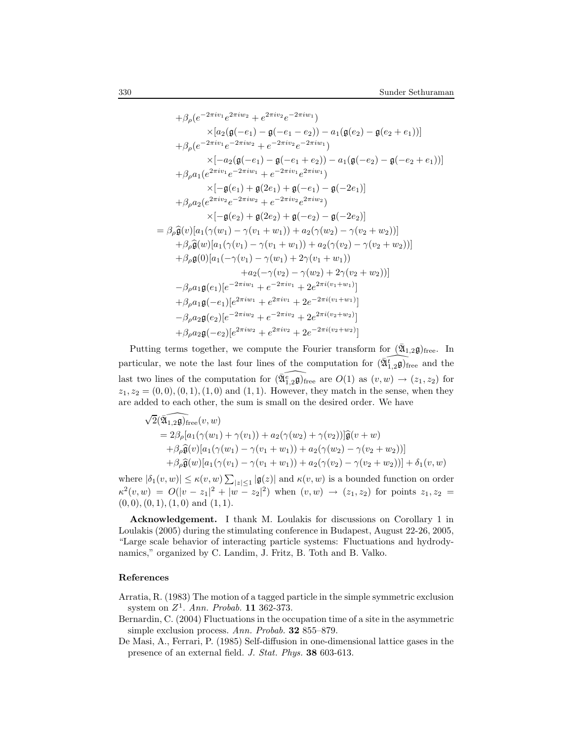$$
+ \beta_{\rho}(e^{-2\pi iv_1}e^{2\pi iv_2} + e^{2\pi iv_2}e^{-2\pi iw_1})
$$
  
\n
$$
\times [a_2(\mathfrak{g}(-e_1) - \mathfrak{g}(-e_1 - e_2)) - a_1(\mathfrak{g}(e_2) - \mathfrak{g}(e_2 + e_1))]
$$
  
\n
$$
+ \beta_{\rho}(e^{-2\pi iv_1}e^{-2\pi iv_2} + e^{-2\pi iv_2}e^{-2\pi iv_1})
$$
  
\n
$$
\times [-a_2(\mathfrak{g}(-e_1) - \mathfrak{g}(-e_1 + e_2)) - a_1(\mathfrak{g}(-e_2) - \mathfrak{g}(-e_2 + e_1))]
$$
  
\n
$$
+ \beta_{\rho}a_1(e^{2\pi iv_1}e^{-2\pi iv_1} + e^{-2\pi iv_1}e^{2\pi iv_1})
$$
  
\n
$$
\times [-\mathfrak{g}(e_1) + \mathfrak{g}(2e_1) + \mathfrak{g}(-e_1) - \mathfrak{g}(-2e_1)]
$$
  
\n
$$
+ \beta_{\rho}a_2(e^{2\pi iv_2}e^{-2\pi iv_2} + e^{-2\pi iv_2}e^{2\pi iv_2})
$$
  
\n
$$
\times [-\mathfrak{g}(e_2) + \mathfrak{g}(2e_2) + \mathfrak{g}(-e_2) - \mathfrak{g}(-2e_2)]
$$
  
\n
$$
= \beta_{\rho}\widehat{\mathfrak{g}}(v)[a_1(\gamma(w_1) - \gamma(v_1 + w_1)) + a_2(\gamma(w_2) - \gamma(v_2 + w_2))]
$$
  
\n
$$
+ \beta_{\rho}\widehat{\mathfrak{g}}(w)[a_1(\gamma(v_1) - \gamma(v_1 + w_1)) + a_2(\gamma(v_2) - \gamma(v_2 + w_2))]
$$
  
\n
$$
+ \beta_{\rho}\mathfrak{g}(0)[a_1(-\gamma(v_1) - \gamma(w_1) + 2\gamma(v_1 + w_1))
$$
  
\n
$$
+ a_2(-\gamma(v_2) - \gamma(w_2) + 2\gamma(v_2 + w_2))]
$$
  
\n<math display="block</math>

Putting terms together, we compute the Fourier transform for  $(\bar{\mathfrak{A}}_{1,2}\mathfrak{g})$ <sub>free</sub>. In particular, we note the last four lines of the computation for  $(\widehat{\mathfrak{A}_{1,2}^{\ell}})$  and the last two lines of the computation for  $\widehat{(\mathfrak{A}_{1,2}\mathfrak{g})}_{\text{free}}$  are  $O(1)$  as  $(v, w) \to (z_1, z_2)$  for  $z_1, z_2 = (0, 0), (0, 1), (1, 0)$  and  $(1, 1)$ . However, they match in the sense, when they are added to each other, the sum is small on the desired order. We have

$$
\sqrt{2}(\widehat{\mathfrak{A}_{1,2}\mathfrak{g}})_{\text{free}}(v,w)
$$
  
=  $2\beta_{\rho}[a_1(\gamma(w_1) + \gamma(v_1)) + a_2(\gamma(w_2) + \gamma(v_2))]\widehat{\mathfrak{g}}(v+w)$   
+ $\beta_{\rho}\widehat{\mathfrak{g}}(v)[a_1(\gamma(w_1) - \gamma(v_1 + w_1)) + a_2(\gamma(w_2) - \gamma(v_2 + w_2))]$   
+ $\beta_{\rho}\widehat{\mathfrak{g}}(w)[a_1(\gamma(v_1) - \gamma(v_1 + w_1)) + a_2(\gamma(v_2) - \gamma(v_2 + w_2))] + \delta_1(v,w)$ 

where  $|\delta_1(v, w)| \le \kappa(v, w) \sum_{|z| \le 1} |g(z)|$  and  $\kappa(v, w)$  is a bounded function on order  $\kappa^2(v,w) = O(|v - z_1|^2 + |w - z_2|^2)$  when  $(v, w) \to (z_1, z_2)$  for points  $z_1, z_2 =$  $(0, 0), (0, 1), (1, 0)$  and  $(1, 1)$ .

Acknowledgement. I thank M. Loulakis for discussions on Corollary 1 in Loulakis (2005) during the stimulating conference in Budapest, August 22-26, 2005, "Large scale behavior of interacting particle systems: Fluctuations and hydrodynamics," organized by C. Landim, J. Fritz, B. Toth and B. Valko.

#### References

Arratia, R. (1983) The motion of a tagged particle in the simple symmetric exclusion system on  $Z^1$ . Ann. Probab. 11 362-373.

- Bernardin, C. (2004) Fluctuations in the occupation time of a site in the asymmetric simple exclusion process. Ann. Probab. 32 855–879.
- De Masi, A., Ferrari, P. (1985) Self-diffusion in one-dimensional lattice gases in the presence of an external field. J. Stat. Phys. 38 603-613.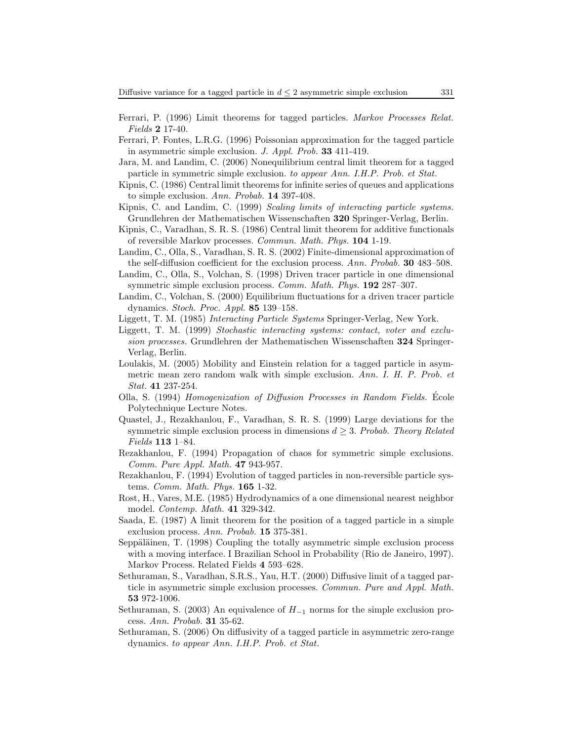- Ferrari, P. (1996) Limit theorems for tagged particles. Markov Processes Relat. Fields 2 17-40.
- Ferrari, P. Fontes, L.R.G. (1996) Poissonian approximation for the tagged particle in asymmetric simple exclusion. J. Appl. Prob. 33 411-419.
- Jara, M. and Landim, C. (2006) Nonequilibrium central limit theorem for a tagged particle in symmetric simple exclusion. to appear Ann. I.H.P. Prob. et Stat.
- Kipnis, C. (1986) Central limit theorems for infinite series of queues and applications to simple exclusion. Ann. Probab. 14 397-408.
- Kipnis, C. and Landim, C. (1999) Scaling limits of interacting particle systems. Grundlehren der Mathematischen Wissenschaften 320 Springer-Verlag, Berlin.
- Kipnis, C., Varadhan, S. R. S. (1986) Central limit theorem for additive functionals of reversible Markov processes. Commun. Math. Phys. 104 1-19.
- Landim, C., Olla, S., Varadhan, S. R. S. (2002) Finite-dimensional approximation of the self-diffusion coefficient for the exclusion process. Ann. Probab. **30** 483–508.
- Landim, C., Olla, S., Volchan, S. (1998) Driven tracer particle in one dimensional symmetric simple exclusion process. *Comm. Math. Phys.* **192** 287–307.
- Landim, C., Volchan, S. (2000) Equilibrium fluctuations for a driven tracer particle dynamics. Stoch. Proc. Appl. 85 139–158.
- Liggett, T. M. (1985) Interacting Particle Systems Springer-Verlag, New York.
- Liggett, T. M. (1999) Stochastic interacting systems: contact, voter and exclusion processes. Grundlehren der Mathematischen Wissenschaften 324 Springer-Verlag, Berlin.
- Loulakis, M. (2005) Mobility and Einstein relation for a tagged particle in asymmetric mean zero random walk with simple exclusion. Ann. I. H. P. Prob. et Stat. 41 237-254.
- Olla, S. (1994) Homogenization of Diffusion Processes in Random Fields. Ecole ´ Polytechnique Lecture Notes.
- Quastel, J., Rezakhanlou, F., Varadhan, S. R. S. (1999) Large deviations for the symmetric simple exclusion process in dimensions  $d \geq 3$ . Probab. Theory Related Fields 113 1–84.
- Rezakhanlou, F. (1994) Propagation of chaos for symmetric simple exclusions. Comm. Pure Appl. Math. 47 943-957.
- Rezakhanlou, F. (1994) Evolution of tagged particles in non-reversible particle systems. Comm. Math. Phys. 165 1-32.
- Rost, H., Vares, M.E. (1985) Hydrodynamics of a one dimensional nearest neighbor model. Contemp. Math. 41 329-342.
- Saada, E. (1987) A limit theorem for the position of a tagged particle in a simple exclusion process. Ann. Probab. 15 375-381.
- Seppäläinen, T.  $(1998)$  Coupling the totally asymmetric simple exclusion process with a moving interface. I Brazilian School in Probability (Rio de Janeiro, 1997). Markov Process. Related Fields 4 593–628.
- Sethuraman, S., Varadhan, S.R.S., Yau, H.T. (2000) Diffusive limit of a tagged particle in asymmetric simple exclusion processes. Commun. Pure and Appl. Math. 53 972-1006.
- Sethuraman, S. (2003) An equivalence of  $H_{-1}$  norms for the simple exclusion process. Ann. Probab. 31 35-62.
- Sethuraman, S. (2006) On diffusivity of a tagged particle in asymmetric zero-range dynamics. to appear Ann. I.H.P. Prob. et Stat.